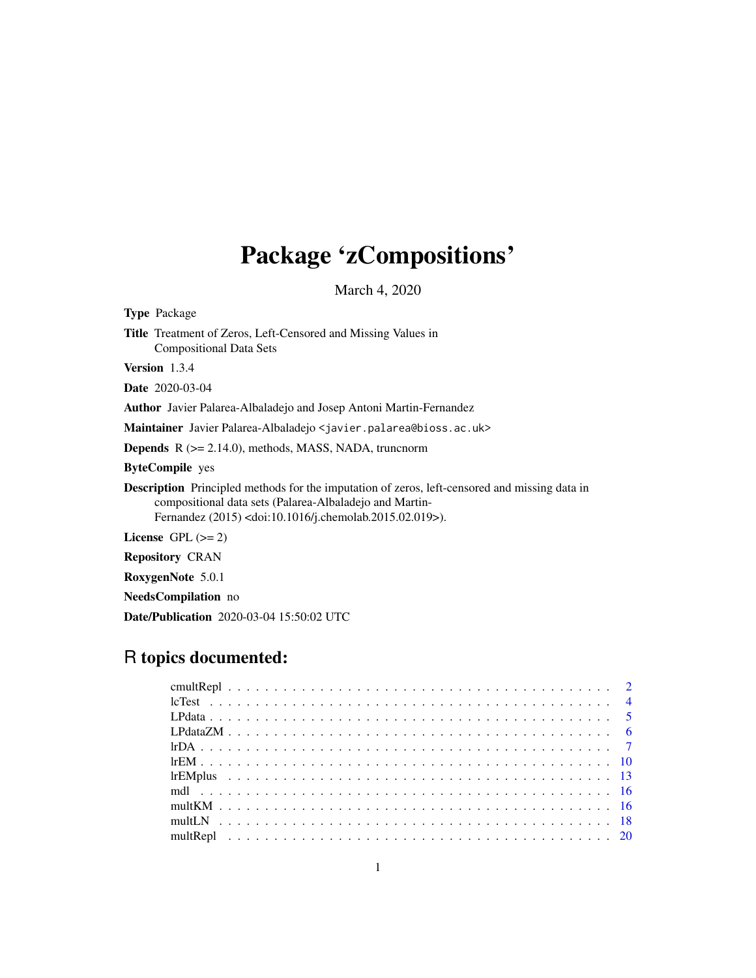# Package 'zCompositions'

March 4, 2020

<span id="page-0-0"></span>

| <b>Type</b> Package                                                                                                                                                                                                                         |  |  |  |  |  |  |
|---------------------------------------------------------------------------------------------------------------------------------------------------------------------------------------------------------------------------------------------|--|--|--|--|--|--|
| <b>Title</b> Treatment of Zeros, Left-Censored and Missing Values in<br><b>Compositional Data Sets</b>                                                                                                                                      |  |  |  |  |  |  |
| <b>Version</b> $1.3.4$                                                                                                                                                                                                                      |  |  |  |  |  |  |
| <b>Date</b> 2020-03-04                                                                                                                                                                                                                      |  |  |  |  |  |  |
| <b>Author</b> Javier Palarea-Albaladejo and Josep Antoni Martin-Fernandez                                                                                                                                                                   |  |  |  |  |  |  |
| <b>Maintainer</b> Javier Palarea-Albaladejo < javier.palarea@bioss.ac.uk>                                                                                                                                                                   |  |  |  |  |  |  |
| <b>Depends</b> $R$ ( $>= 2.14.0$ ), methods, MASS, NADA, truncnorm                                                                                                                                                                          |  |  |  |  |  |  |
| <b>ByteCompile</b> yes                                                                                                                                                                                                                      |  |  |  |  |  |  |
| <b>Description</b> Principled methods for the imputation of zeros, left-censored and missing data in<br>compositional data sets (Palarea-Albaladejo and Martin-<br>Fernandez (2015) <doi:10.1016 j.chemolab.2015.02.019="">).</doi:10.1016> |  |  |  |  |  |  |
| License GPL $(>= 2)$                                                                                                                                                                                                                        |  |  |  |  |  |  |
| <b>Repository CRAN</b>                                                                                                                                                                                                                      |  |  |  |  |  |  |
| RoxygenNote 5.0.1                                                                                                                                                                                                                           |  |  |  |  |  |  |
| <b>NeedsCompilation</b> no                                                                                                                                                                                                                  |  |  |  |  |  |  |

Date/Publication 2020-03-04 15:50:02 UTC

# R topics documented: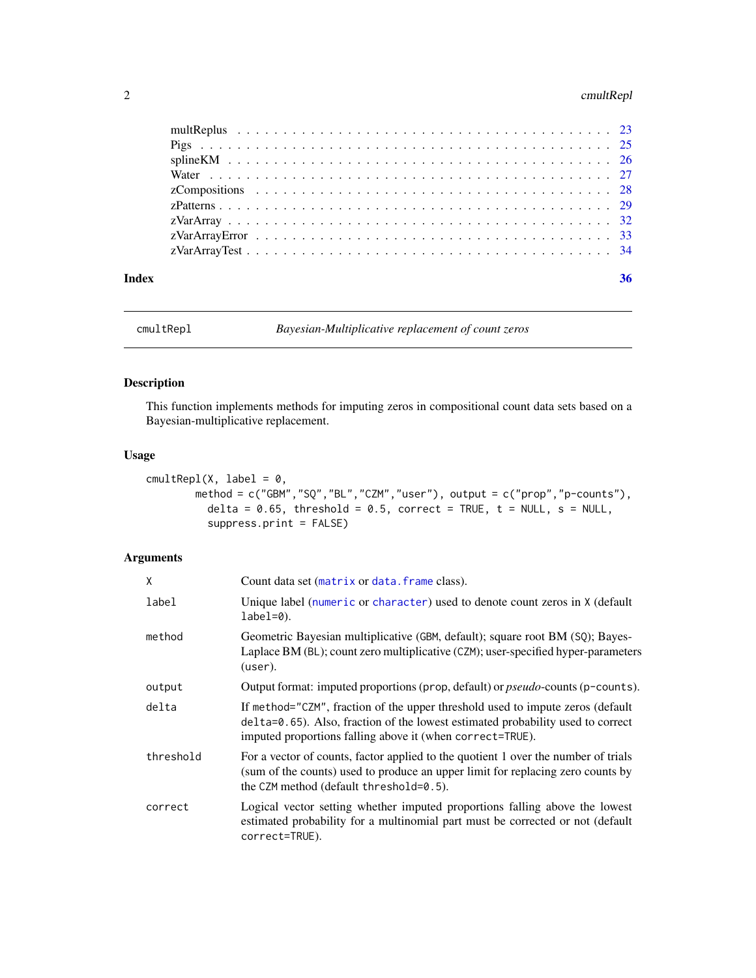# <span id="page-1-0"></span>2 cmultRepl

| Index |  | 36 |
|-------|--|----|

<span id="page-1-1"></span>cmultRepl *Bayesian-Multiplicative replacement of count zeros*

# Description

This function implements methods for imputing zeros in compositional count data sets based on a Bayesian-multiplicative replacement.

# Usage

```
cmultRep1(X, label = 0,method = c("GBM","SQ","BL","CZM","user"), output = c("prop","p-counts"),
          delta = 0.65, threshold = 0.5, correct = TRUE, t = NULL, s = NULL,
          suppress.print = FALSE)
```
# Arguments

| X         | Count data set (matrix or data. frame class).                                                                                                                                                                                  |
|-----------|--------------------------------------------------------------------------------------------------------------------------------------------------------------------------------------------------------------------------------|
| label     | Unique label (numeric or character) used to denote count zeros in X (default<br>$label=0.$                                                                                                                                     |
| method    | Geometric Bayesian multiplicative (GBM, default); square root BM (SQ); Bayes-<br>Laplace BM (BL); count zero multiplicative (CZM); user-specified hyper-parameters<br>(user).                                                  |
| output    | Output format: imputed proportions (prop, default) or <i>pseudo</i> -counts (p-counts).                                                                                                                                        |
| delta     | If method="CZM", fraction of the upper threshold used to impute zeros (default<br>delta=0.65). Also, fraction of the lowest estimated probability used to correct<br>imputed proportions falling above it (when correct=TRUE). |
| threshold | For a vector of counts, factor applied to the quotient 1 over the number of trials<br>(sum of the counts) used to produce an upper limit for replacing zero counts by<br>the CZM method (default threshold=0.5).               |
| correct   | Logical vector setting whether imputed proportions falling above the lowest<br>estimated probability for a multinomial part must be corrected or not (default<br>correct=TRUE).                                                |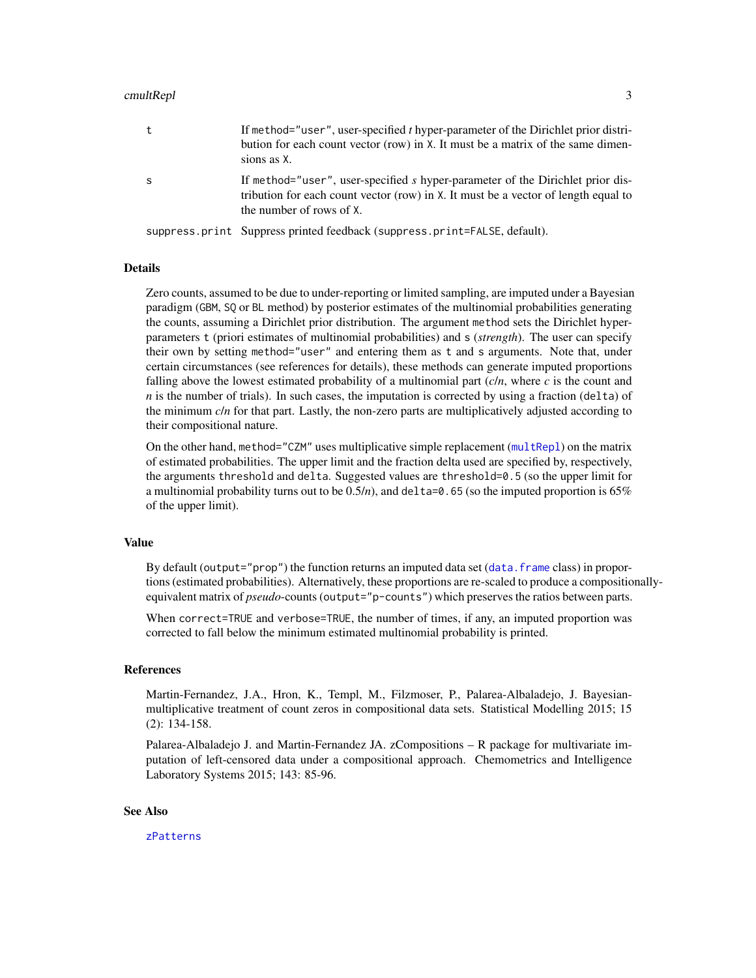#### <span id="page-2-0"></span>cmultRepl 3

|   | If method="user", user-specified t hyper-parameter of the Dirichlet prior distri-<br>bution for each count vector (row) in X. It must be a matrix of the same dimen-<br>sions as X.              |
|---|--------------------------------------------------------------------------------------------------------------------------------------------------------------------------------------------------|
| S | If method="user", user-specified s hyper-parameter of the Dirichlet prior dis-<br>tribution for each count vector (row) in X. It must be a vector of length equal to<br>the number of rows of X. |
|   | suppress.print Suppress printed feedback (suppress.print=FALSE, default).                                                                                                                        |

#### Details

Zero counts, assumed to be due to under-reporting or limited sampling, are imputed under a Bayesian paradigm (GBM, SQ or BL method) by posterior estimates of the multinomial probabilities generating the counts, assuming a Dirichlet prior distribution. The argument method sets the Dirichlet hyperparameters t (priori estimates of multinomial probabilities) and s (*strength*). The user can specify their own by setting method="user" and entering them as t and s arguments. Note that, under certain circumstances (see references for details), these methods can generate imputed proportions falling above the lowest estimated probability of a multinomial part  $(c/n)$ , where  $c$  is the count and  $n$  is the number of trials). In such cases, the imputation is corrected by using a fraction (delta) of the minimum *c*/*n* for that part. Lastly, the non-zero parts are multiplicatively adjusted according to their compositional nature.

On the other hand, method="CZM" uses multiplicative simple replacement ([multRepl](#page-19-1)) on the matrix of estimated probabilities. The upper limit and the fraction delta used are specified by, respectively, the arguments threshold and delta. Suggested values are threshold=0.5 (so the upper limit for a multinomial probability turns out to be  $0.5/n$ , and delta=0.65 (so the imputed proportion is 65% of the upper limit).

#### Value

By default (output="prop") the function returns an imputed data set (data. frame class) in proportions (estimated probabilities). Alternatively, these proportions are re-scaled to produce a compositionallyequivalent matrix of *pseudo*-counts (output="p-counts") which preserves the ratios between parts.

When correct=TRUE and verbose=TRUE, the number of times, if any, an imputed proportion was corrected to fall below the minimum estimated multinomial probability is printed.

#### References

Martin-Fernandez, J.A., Hron, K., Templ, M., Filzmoser, P., Palarea-Albaladejo, J. Bayesianmultiplicative treatment of count zeros in compositional data sets. Statistical Modelling 2015; 15 (2): 134-158.

Palarea-Albaladejo J. and Martin-Fernandez JA. zCompositions – R package for multivariate imputation of left-censored data under a compositional approach. Chemometrics and Intelligence Laboratory Systems 2015; 143: 85-96.

#### See Also

[zPatterns](#page-28-1)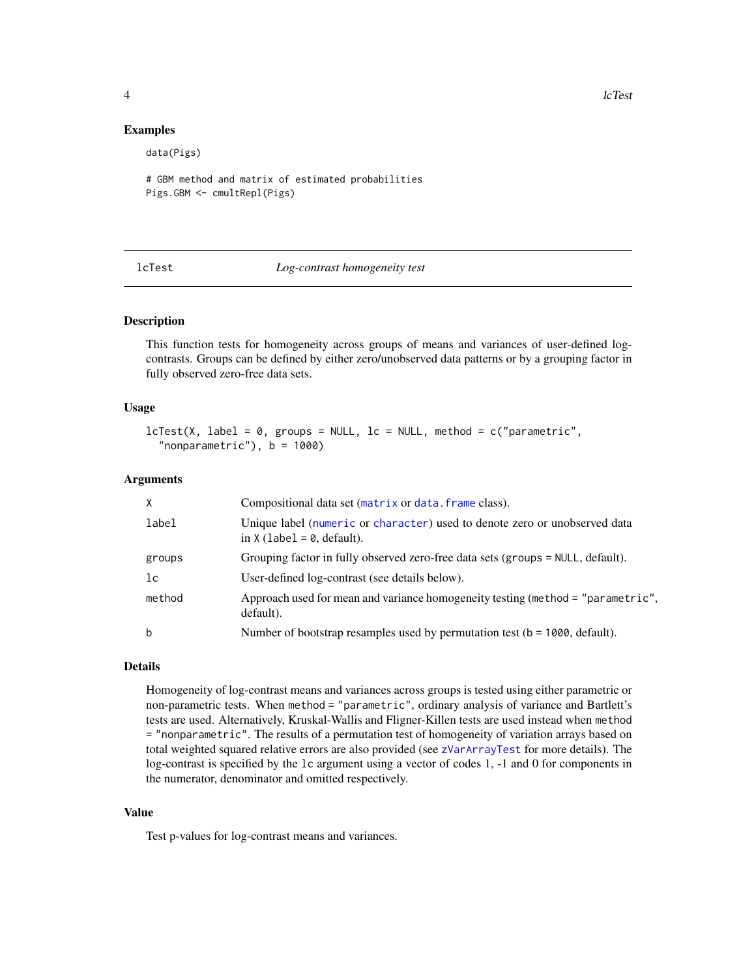#### Examples

data(Pigs)

```
# GBM method and matrix of estimated probabilities
Pigs.GBM <- cmultRepl(Pigs)
```
#### lcTest *Log-contrast homogeneity test*

#### Description

This function tests for homogeneity across groups of means and variances of user-defined logcontrasts. Groups can be defined by either zero/unobserved data patterns or by a grouping factor in fully observed zero-free data sets.

#### Usage

```
lcfest(X, label = 0, groups = NULL, lc = NULL, method = c("parametric","nonparametric"), b = 1000)
```
#### Arguments

| X      | Compositional data set (matrix or data. frame class).                                                      |
|--------|------------------------------------------------------------------------------------------------------------|
| label  | Unique label (numeric or character) used to denote zero or unobserved data<br>in $X$ (label = 0, default). |
| groups | Grouping factor in fully observed zero-free data sets (groups = NULL, default).                            |
| lc     | User-defined log-contrast (see details below).                                                             |
| method | Approach used for mean and variance homogeneity testing (method = "parametric",<br>default).               |
| b      | Number of bootstrap resamples used by permutation test ( $b = 1000$ , default).                            |

# Details

Homogeneity of log-contrast means and variances across groups is tested using either parametric or non-parametric tests. When method = "parametric", ordinary analysis of variance and Bartlett's tests are used. Alternatively, Kruskal-Wallis and Fligner-Killen tests are used instead when method = "nonparametric". The results of a permutation test of homogeneity of variation arrays based on total weighted squared relative errors are also provided (see [zVarArrayTest](#page-33-1) for more details). The log-contrast is specified by the lc argument using a vector of codes 1, -1 and 0 for components in the numerator, denominator and omitted respectively.

# Value

Test p-values for log-contrast means and variances.

<span id="page-3-0"></span>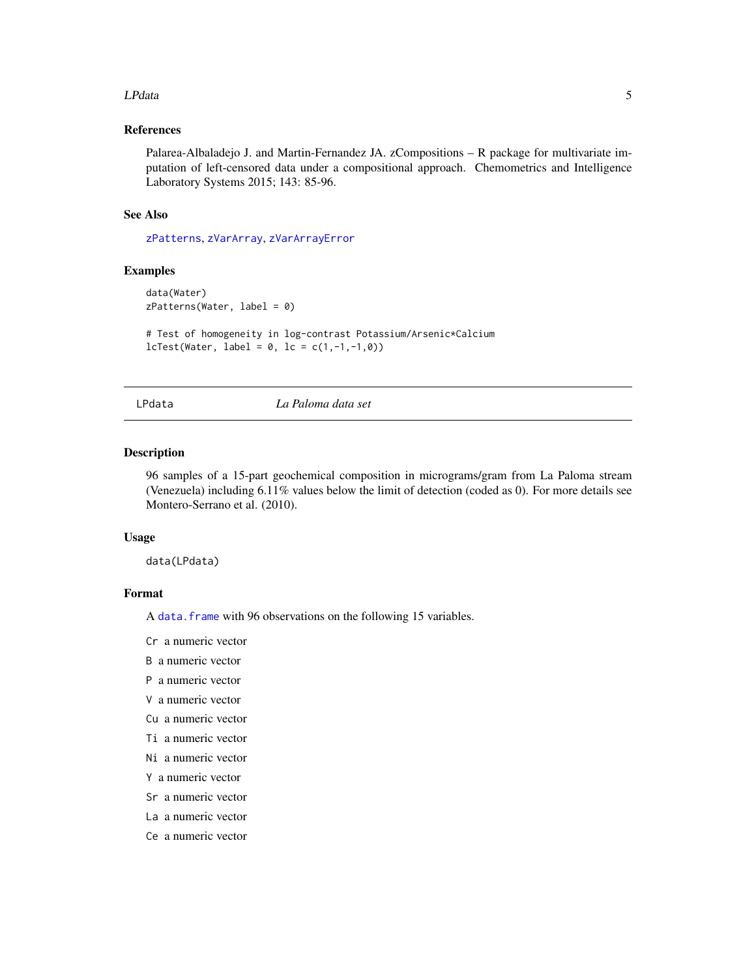#### <span id="page-4-0"></span>LPdata 5

# References

Palarea-Albaladejo J. and Martin-Fernandez JA. zCompositions – R package for multivariate imputation of left-censored data under a compositional approach. Chemometrics and Intelligence Laboratory Systems 2015; 143: 85-96.

#### See Also

[zPatterns](#page-28-1), [zVarArray](#page-31-1), [zVarArrayError](#page-32-1)

# Examples

```
data(Water)
zPatterns(Water, label = 0)
```

```
# Test of homogeneity in log-contrast Potassium/Arsenic*Calcium
lcfest(Water, label = 0, lc = c(1, -1, -1, 0))
```
LPdata *La Paloma data set*

#### Description

96 samples of a 15-part geochemical composition in micrograms/gram from La Paloma stream (Venezuela) including 6.11% values below the limit of detection (coded as 0). For more details see Montero-Serrano et al. (2010).

#### Usage

data(LPdata)

#### Format

A [data.frame](#page-0-0) with 96 observations on the following 15 variables.

Cr a numeric vector

B a numeric vector

- P a numeric vector
- V a numeric vector
- Cu a numeric vector
- Ti a numeric vector
- Ni a numeric vector
- Y a numeric vector
- Sr a numeric vector
- La a numeric vector
- Ce a numeric vector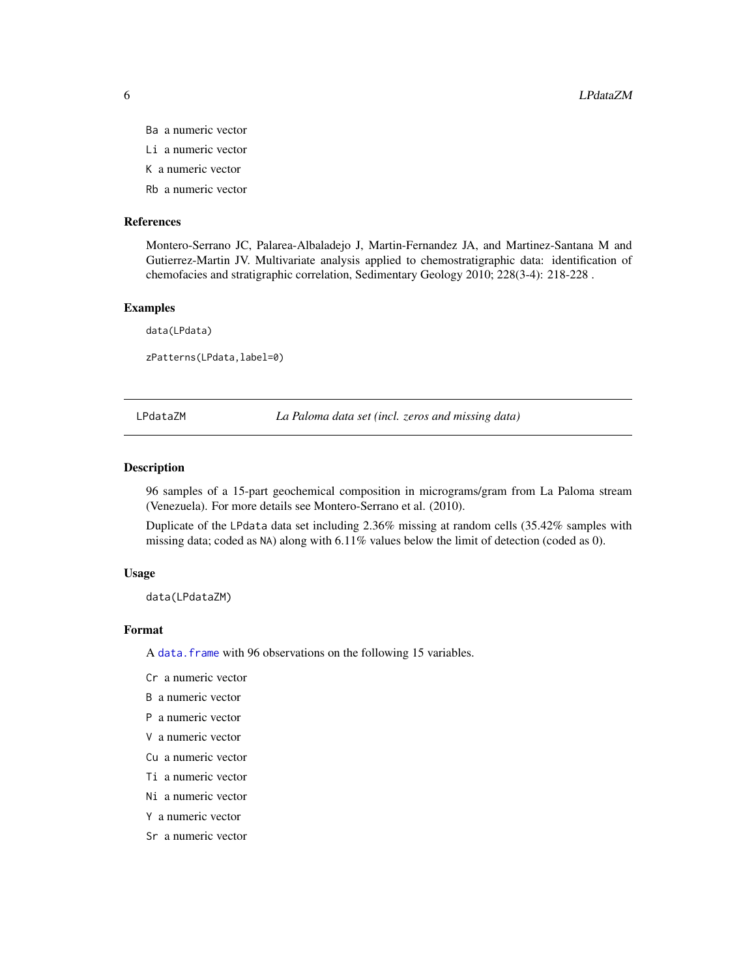- Ba a numeric vector
- Li a numeric vector
- K a numeric vector
- Rb a numeric vector

#### References

Montero-Serrano JC, Palarea-Albaladejo J, Martin-Fernandez JA, and Martinez-Santana M and Gutierrez-Martin JV. Multivariate analysis applied to chemostratigraphic data: identification of chemofacies and stratigraphic correlation, Sedimentary Geology 2010; 228(3-4): 218-228 .

#### Examples

data(LPdata) zPatterns(LPdata,label=0)

LPdataZM *La Paloma data set (incl. zeros and missing data)*

### Description

96 samples of a 15-part geochemical composition in micrograms/gram from La Paloma stream (Venezuela). For more details see Montero-Serrano et al. (2010).

Duplicate of the LPdata data set including 2.36% missing at random cells (35.42% samples with missing data; coded as NA) along with 6.11% values below the limit of detection (coded as 0).

#### Usage

data(LPdataZM)

#### Format

A [data.frame](#page-0-0) with 96 observations on the following 15 variables.

Cr a numeric vector

B a numeric vector

- P a numeric vector
- V a numeric vector
- Cu a numeric vector
- Ti a numeric vector
- Ni a numeric vector
- Y a numeric vector
- Sr a numeric vector

<span id="page-5-0"></span>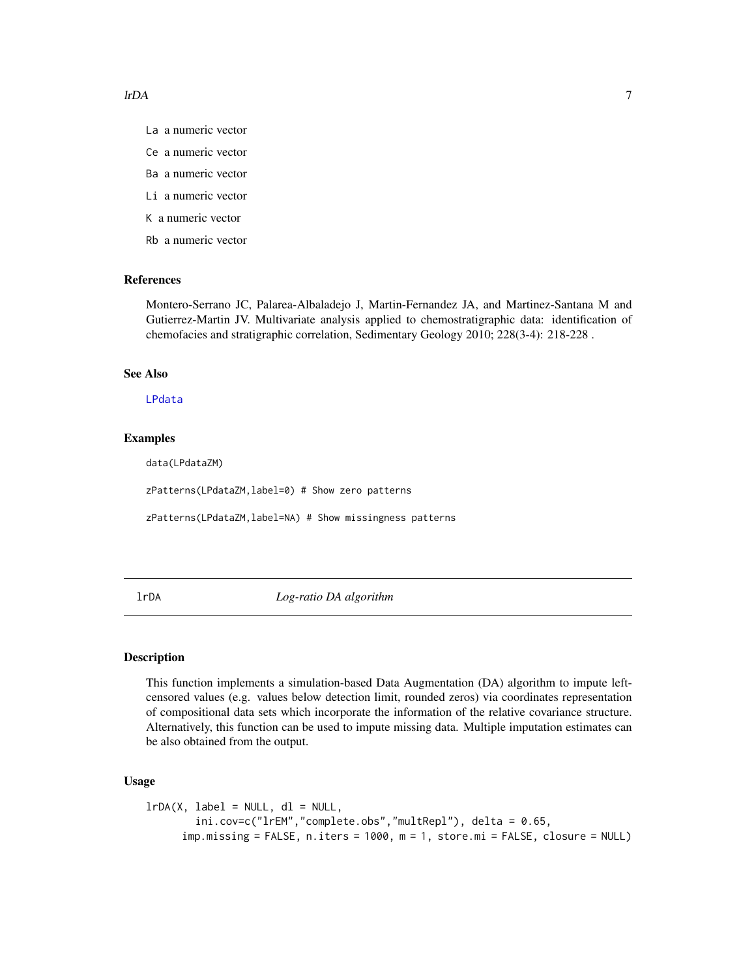- <span id="page-6-0"></span>La a numeric vector
- Ce a numeric vector
- Ba a numeric vector
- Li a numeric vector
- K a numeric vector
- Rb a numeric vector

#### References

Montero-Serrano JC, Palarea-Albaladejo J, Martin-Fernandez JA, and Martinez-Santana M and Gutierrez-Martin JV. Multivariate analysis applied to chemostratigraphic data: identification of chemofacies and stratigraphic correlation, Sedimentary Geology 2010; 228(3-4): 218-228 .

# See Also

[LPdata](#page-4-1)

# Examples

data(LPdataZM)

zPatterns(LPdataZM,label=0) # Show zero patterns

zPatterns(LPdataZM,label=NA) # Show missingness patterns

<span id="page-6-1"></span>lrDA *Log-ratio DA algorithm*

#### Description

This function implements a simulation-based Data Augmentation (DA) algorithm to impute leftcensored values (e.g. values below detection limit, rounded zeros) via coordinates representation of compositional data sets which incorporate the information of the relative covariance structure. Alternatively, this function can be used to impute missing data. Multiple imputation estimates can be also obtained from the output.

# Usage

```
lrDA(X, label = NULL, dl = NULL,ini.cov=c("lrEM","complete.obs","multRepl"), delta = 0.65,
      imp.missing = FALSE, n.iters = 1000, m = 1, store.mi = FALSE, closure = NULL)
```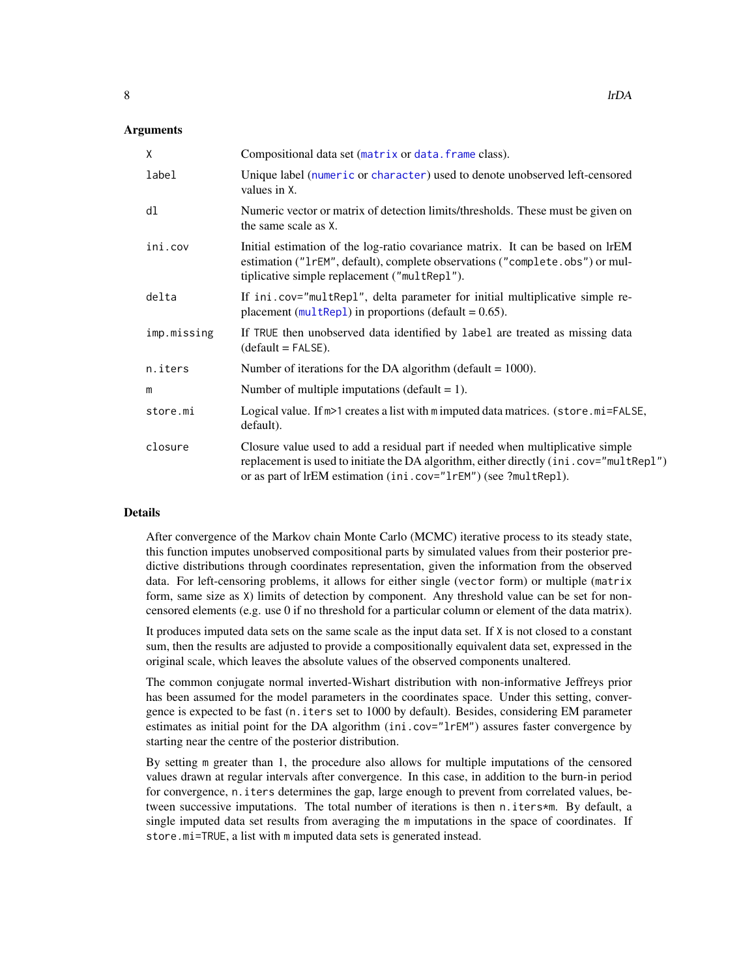### <span id="page-7-0"></span>Arguments

| X           | Compositional data set (matrix or data. frame class).                                                                                                                                                                                       |
|-------------|---------------------------------------------------------------------------------------------------------------------------------------------------------------------------------------------------------------------------------------------|
| label       | Unique label (numeric or character) used to denote unobserved left-censored<br>values in X.                                                                                                                                                 |
| dl          | Numeric vector or matrix of detection limits/thresholds. These must be given on<br>the same scale as X.                                                                                                                                     |
| ini.cov     | Initial estimation of the log-ratio covariance matrix. It can be based on IrEM<br>estimation ("1rEM", default), complete observations ("complete.obs") or mul-<br>tiplicative simple replacement ("multRepl").                              |
| delta       | If ini.cov="multRepl", delta parameter for initial multiplicative simple re-<br>placement ( $multRep1$ ) in proportions (default = 0.65).                                                                                                   |
| imp.missing | If TRUE then unobserved data identified by label are treated as missing data<br>$(detault = FALSE).$                                                                                                                                        |
| n.iters     | Number of iterations for the DA algorithm (default $= 1000$ ).                                                                                                                                                                              |
| m           | Number of multiple imputations (default $= 1$ ).                                                                                                                                                                                            |
| store.mi    | Logical value. If $m>1$ creates a list with m imputed data matrices. (store.mi=FALSE,<br>default).                                                                                                                                          |
| closure     | Closure value used to add a residual part if needed when multiplicative simple<br>replacement is used to initiate the DA algorithm, either directly (ini.cov="multRepl")<br>or as part of lrEM estimation (ini.cov="1rEM") (see ?multRepl). |

#### Details

After convergence of the Markov chain Monte Carlo (MCMC) iterative process to its steady state, this function imputes unobserved compositional parts by simulated values from their posterior predictive distributions through coordinates representation, given the information from the observed data. For left-censoring problems, it allows for either single (vector form) or multiple (matrix form, same size as X) limits of detection by component. Any threshold value can be set for noncensored elements (e.g. use 0 if no threshold for a particular column or element of the data matrix).

It produces imputed data sets on the same scale as the input data set. If X is not closed to a constant sum, then the results are adjusted to provide a compositionally equivalent data set, expressed in the original scale, which leaves the absolute values of the observed components unaltered.

The common conjugate normal inverted-Wishart distribution with non-informative Jeffreys prior has been assumed for the model parameters in the coordinates space. Under this setting, convergence is expected to be fast (n.iters set to 1000 by default). Besides, considering EM parameter estimates as initial point for the DA algorithm (ini.cov="1rEM") assures faster convergence by starting near the centre of the posterior distribution.

By setting m greater than 1, the procedure also allows for multiple imputations of the censored values drawn at regular intervals after convergence. In this case, in addition to the burn-in period for convergence, n.iters determines the gap, large enough to prevent from correlated values, between successive imputations. The total number of iterations is then n.iters\*m. By default, a single imputed data set results from averaging the m imputations in the space of coordinates. If store.mi=TRUE, a list with m imputed data sets is generated instead.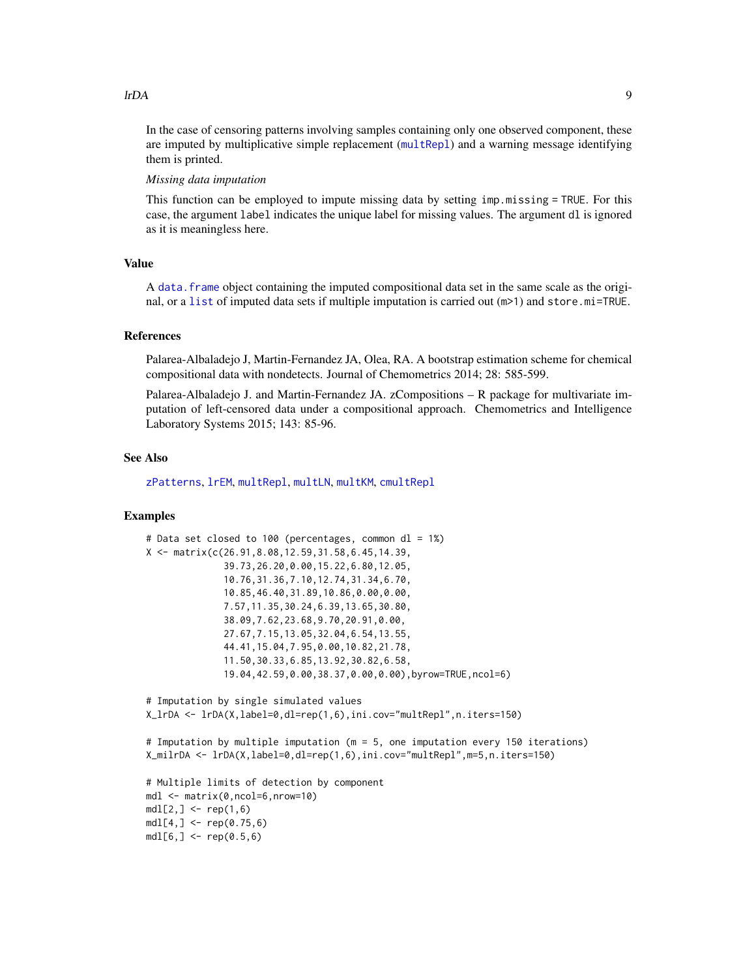<span id="page-8-0"></span>In the case of censoring patterns involving samples containing only one observed component, these are imputed by multiplicative simple replacement ([multRepl](#page-19-1)) and a warning message identifying them is printed.

#### *Missing data imputation*

This function can be employed to impute missing data by setting imp.missing = TRUE. For this case, the argument label indicates the unique label for missing values. The argument dl is ignored as it is meaningless here.

#### Value

A [data.frame](#page-0-0) object containing the imputed compositional data set in the same scale as the original, or a [list](#page-0-0) of imputed data sets if multiple imputation is carried out (m>1) and store.mi=TRUE.

#### References

Palarea-Albaladejo J, Martin-Fernandez JA, Olea, RA. A bootstrap estimation scheme for chemical compositional data with nondetects. Journal of Chemometrics 2014; 28: 585-599.

Palarea-Albaladejo J. and Martin-Fernandez JA. zCompositions – R package for multivariate imputation of left-censored data under a compositional approach. Chemometrics and Intelligence Laboratory Systems 2015; 143: 85-96.

#### See Also

[zPatterns](#page-28-1), [lrEM](#page-9-1), [multRepl](#page-19-1), [multLN](#page-17-1), [multKM](#page-15-1), [cmultRepl](#page-1-1)

# Examples

```
# Data set closed to 100 (percentages, common dl = 1%)
X <- matrix(c(26.91,8.08,12.59,31.58,6.45,14.39,
              39.73,26.20,0.00,15.22,6.80,12.05,
              10.76,31.36,7.10,12.74,31.34,6.70,
              10.85,46.40,31.89,10.86,0.00,0.00,
              7.57,11.35,30.24,6.39,13.65,30.80,
              38.09,7.62,23.68,9.70,20.91,0.00,
              27.67,7.15,13.05,32.04,6.54,13.55,
              44.41,15.04,7.95,0.00,10.82,21.78,
              11.50,30.33,6.85,13.92,30.82,6.58,
              19.04,42.59,0.00,38.37,0.00,0.00),byrow=TRUE,ncol=6)
# Imputation by single simulated values
X_lrDA <- lrDA(X,label=0,dl=rep(1,6),ini.cov="multRepl",n.iters=150)
# Imputation by multiple imputation (m = 5, one imputation every 150 iterations)
X_milrDA <- lrDA(X,label=0,dl=rep(1,6),ini.cov="multRepl",m=5,n.iters=150)
# Multiple limits of detection by component
mdl <- matrix(0,ncol=6,nrow=10)
mdl[2,] < - rep(1,6)mdl[4,] < - rep(0.75, 6)mdl[6, ] \leq rep(0.5, 6)
```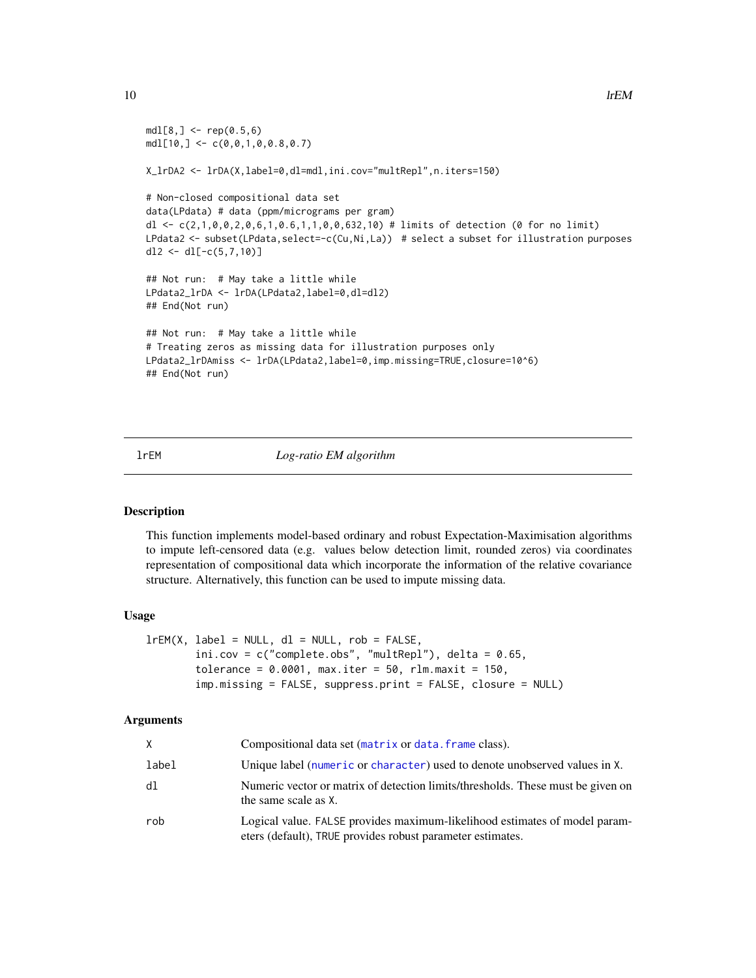```
mdl[8, ] \leq - rep(0.5, 6)mdl[10, ] \leftarrow c(0, 0, 1, 0, 0.8, 0.7)X_lrDA2 <- lrDA(X,label=0,dl=mdl,ini.cov="multRepl",n.iters=150)
# Non-closed compositional data set
data(LPdata) # data (ppm/micrograms per gram)
dl <- c(2,1,0,0,2,0,6,1,0.6,1,1,0,0,632,10) # limits of detection (0 for no limit)
LPdata2 <- subset(LPdata, select=-c(Cu,Ni,La)) # select a subset for illustration purposes
dl2 <- dl[-c(5,7,10)]
## Not run: # May take a little while
LPdata2_lrDA <- lrDA(LPdata2,label=0,dl=dl2)
## End(Not run)
## Not run: # May take a little while
# Treating zeros as missing data for illustration purposes only
LPdata2_lrDAmiss <- lrDA(LPdata2, label=0, imp.missing=TRUE, closure=10^6)
## End(Not run)
```
<span id="page-9-1"></span>lrEM *Log-ratio EM algorithm*

#### Description

This function implements model-based ordinary and robust Expectation-Maximisation algorithms to impute left-censored data (e.g. values below detection limit, rounded zeros) via coordinates representation of compositional data which incorporate the information of the relative covariance structure. Alternatively, this function can be used to impute missing data.

#### Usage

```
lrEM(X, label = NULL, dl = NULL, rob = FALSE,
        ini.cov = c("complete.obs", "multRepl"), delta = 0.65,tolerance = 0.0001, max.iter = 50, rlm.maxit = 150,
        imp.missing = FALSE, suppress.print = FALSE, closure = NULL)
```
#### Arguments

| X.    | Compositional data set (matrix or data. frame class).                                                                                    |
|-------|------------------------------------------------------------------------------------------------------------------------------------------|
| label | Unique label (numeric or character) used to denote unobserved values in X.                                                               |
| d1    | Numeric vector or matrix of detection limits/thresholds. These must be given on<br>the same scale as X.                                  |
| rob   | Logical value. FALSE provides maximum-likelihood estimates of model param-<br>eters (default), TRUE provides robust parameter estimates. |

<span id="page-9-0"></span>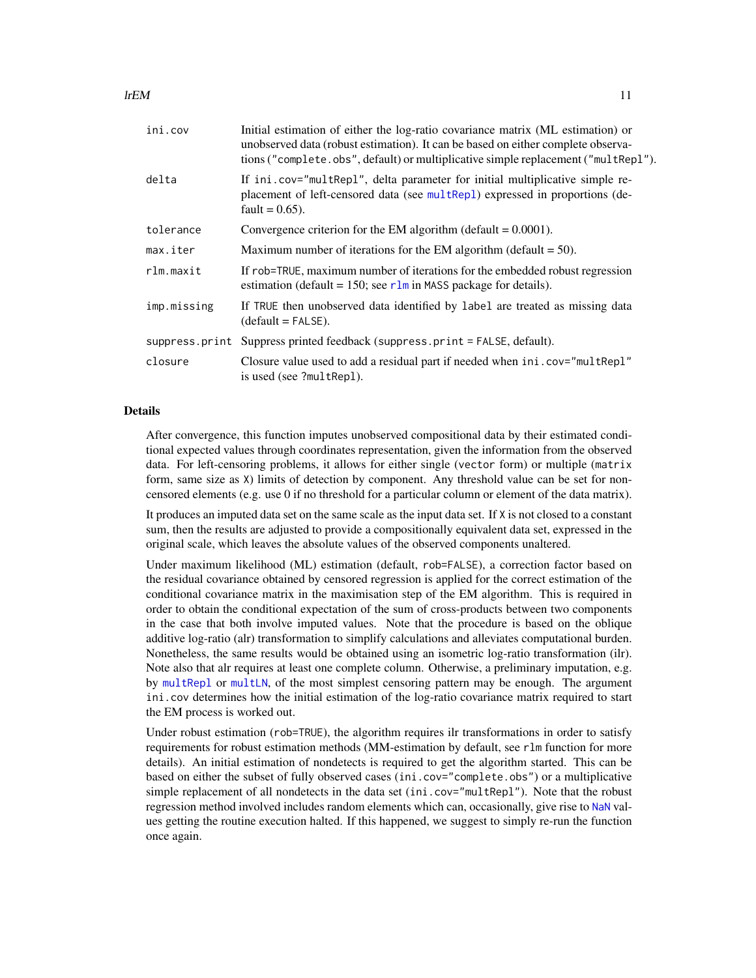<span id="page-10-0"></span>

| ini.cov     | Initial estimation of either the log-ratio covariance matrix (ML estimation) or<br>unobserved data (robust estimation). It can be based on either complete observa-<br>tions ("complete.obs", default) or multiplicative simple replacement ("multRepl"). |
|-------------|-----------------------------------------------------------------------------------------------------------------------------------------------------------------------------------------------------------------------------------------------------------|
| delta       | If ini.cov="multRepl", delta parameter for initial multiplicative simple re-<br>placement of left-censored data (see multRepl) expressed in proportions (de-<br>fault = $0.65$ ).                                                                         |
| tolerance   | Convergence criterion for the EM algorithm (default $= 0.0001$ ).                                                                                                                                                                                         |
| max.iter    | Maximum number of iterations for the EM algorithm (default $= 50$ ).                                                                                                                                                                                      |
| rlm.maxit   | If rob=TRUE, maximum number of iterations for the embedded robust regression<br>estimation (default = 150; see $r \ln m$ in MASS package for details).                                                                                                    |
| imp.missing | If TRUE then unobserved data identified by label are treated as missing data<br>$(detault = FALSE).$                                                                                                                                                      |
|             | suppress.print Suppress printed feedback (suppress.print = FALSE, default).                                                                                                                                                                               |
| closure     | Closure value used to add a residual part if needed when ini.cov="multRepl"<br>is used (see ?multRepl).                                                                                                                                                   |

#### Details

After convergence, this function imputes unobserved compositional data by their estimated conditional expected values through coordinates representation, given the information from the observed data. For left-censoring problems, it allows for either single (vector form) or multiple (matrix form, same size as X) limits of detection by component. Any threshold value can be set for noncensored elements (e.g. use 0 if no threshold for a particular column or element of the data matrix).

It produces an imputed data set on the same scale as the input data set. If X is not closed to a constant sum, then the results are adjusted to provide a compositionally equivalent data set, expressed in the original scale, which leaves the absolute values of the observed components unaltered.

Under maximum likelihood (ML) estimation (default, rob=FALSE), a correction factor based on the residual covariance obtained by censored regression is applied for the correct estimation of the conditional covariance matrix in the maximisation step of the EM algorithm. This is required in order to obtain the conditional expectation of the sum of cross-products between two components in the case that both involve imputed values. Note that the procedure is based on the oblique additive log-ratio (alr) transformation to simplify calculations and alleviates computational burden. Nonetheless, the same results would be obtained using an isometric log-ratio transformation (ilr). Note also that alr requires at least one complete column. Otherwise, a preliminary imputation, e.g. by [multRepl](#page-19-1) or [multLN](#page-17-1), of the most simplest censoring pattern may be enough. The argument ini.cov determines how the initial estimation of the log-ratio covariance matrix required to start the EM process is worked out.

Under robust estimation (rob=TRUE), the algorithm requires ilr transformations in order to satisfy requirements for robust estimation methods (MM-estimation by default, see rlm function for more details). An initial estimation of nondetects is required to get the algorithm started. This can be based on either the subset of fully observed cases (ini.cov="complete.obs") or a multiplicative simple replacement of all nondetects in the data set (ini.cov="multRepl"). Note that the robust regression method involved includes random elements which can, occasionally, give rise to [NaN](#page-0-0) values getting the routine execution halted. If this happened, we suggest to simply re-run the function once again.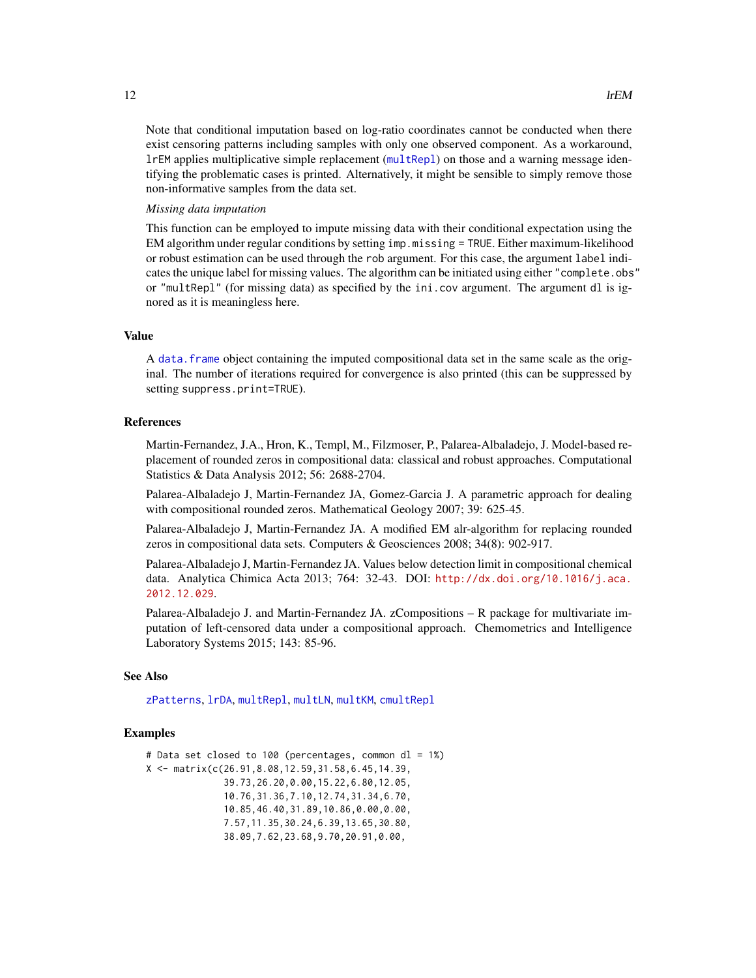<span id="page-11-0"></span>Note that conditional imputation based on log-ratio coordinates cannot be conducted when there exist censoring patterns including samples with only one observed component. As a workaround, lrEM applies multiplicative simple replacement ([multRepl](#page-19-1)) on those and a warning message identifying the problematic cases is printed. Alternatively, it might be sensible to simply remove those non-informative samples from the data set.

### *Missing data imputation*

This function can be employed to impute missing data with their conditional expectation using the EM algorithm under regular conditions by setting imp.missing = TRUE. Either maximum-likelihood or robust estimation can be used through the rob argument. For this case, the argument label indicates the unique label for missing values. The algorithm can be initiated using either "complete.obs" or "multRepl" (for missing data) as specified by the ini.cov argument. The argument dl is ignored as it is meaningless here.

#### Value

A [data.frame](#page-0-0) object containing the imputed compositional data set in the same scale as the original. The number of iterations required for convergence is also printed (this can be suppressed by setting suppress.print=TRUE).

### References

Martin-Fernandez, J.A., Hron, K., Templ, M., Filzmoser, P., Palarea-Albaladejo, J. Model-based replacement of rounded zeros in compositional data: classical and robust approaches. Computational Statistics & Data Analysis 2012; 56: 2688-2704.

Palarea-Albaladejo J, Martin-Fernandez JA, Gomez-Garcia J. A parametric approach for dealing with compositional rounded zeros. Mathematical Geology 2007; 39: 625-45.

Palarea-Albaladejo J, Martin-Fernandez JA. A modified EM alr-algorithm for replacing rounded zeros in compositional data sets. Computers & Geosciences 2008; 34(8): 902-917.

Palarea-Albaladejo J, Martin-Fernandez JA. Values below detection limit in compositional chemical data. Analytica Chimica Acta 2013; 764: 32-43. DOI: [http://dx.doi.org/10.1016/j.aca.](http://dx.doi.org/10.1016/j.aca.2012.12.029) [2012.12.029](http://dx.doi.org/10.1016/j.aca.2012.12.029).

Palarea-Albaladejo J. and Martin-Fernandez JA. zCompositions – R package for multivariate imputation of left-censored data under a compositional approach. Chemometrics and Intelligence Laboratory Systems 2015; 143: 85-96.

#### See Also

[zPatterns](#page-28-1), [lrDA](#page-6-1), [multRepl](#page-19-1), [multLN](#page-17-1), [multKM](#page-15-1), [cmultRepl](#page-1-1)

#### Examples

```
# Data set closed to 100 (percentages, common dl = 1%)
X <- matrix(c(26.91,8.08,12.59,31.58,6.45,14.39,
              39.73,26.20,0.00,15.22,6.80,12.05,
              10.76,31.36,7.10,12.74,31.34,6.70,
              10.85,46.40,31.89,10.86,0.00,0.00,
              7.57,11.35,30.24,6.39,13.65,30.80,
              38.09,7.62,23.68,9.70,20.91,0.00,
```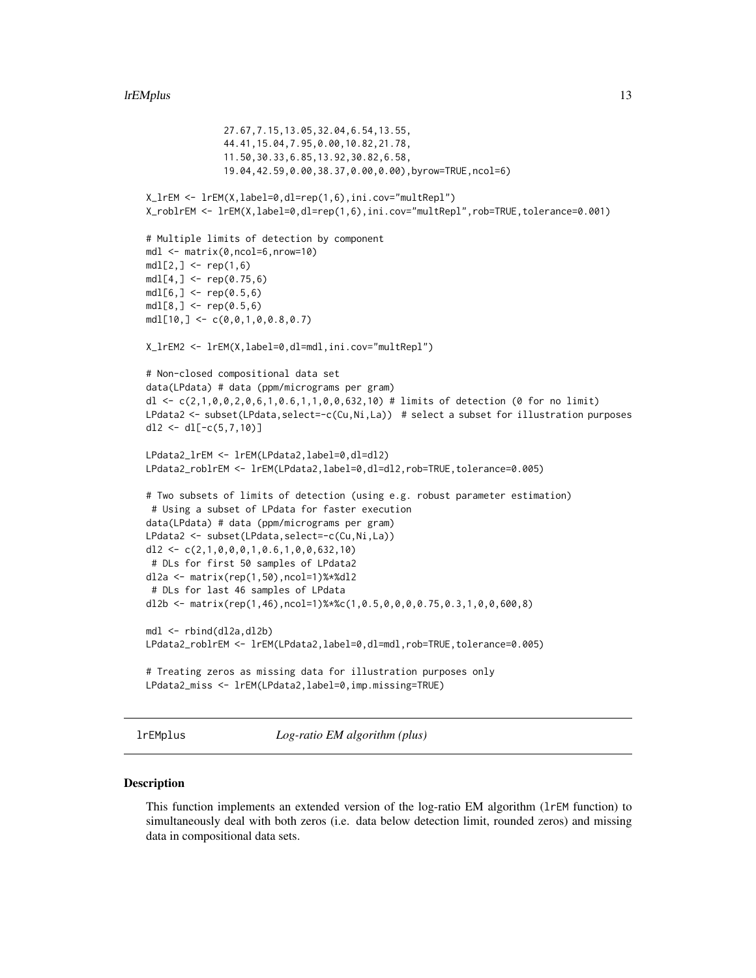```
27.67,7.15,13.05,32.04,6.54,13.55,
              44.41,15.04,7.95,0.00,10.82,21.78,
              11.50,30.33,6.85,13.92,30.82,6.58,
              19.04,42.59,0.00,38.37,0.00,0.00),byrow=TRUE,ncol=6)
X_lrEM <- lrEM(X,label=0,dl=rep(1,6),ini.cov="multRepl")
X_roblrEM <- lrEM(X,label=0,dl=rep(1,6),ini.cov="multRepl",rob=TRUE,tolerance=0.001)
# Multiple limits of detection by component
mdl <- matrix(0,ncol=6,nrow=10)
mdl[2,] < - rep(1,6)mdl[4, ] \leq rep(0.75, 6)mdl[6, ] \leq rep(0.5, 6)mdl[8, ] \leq rep(0.5, 6)mdl[10, ] \leftarrow c(0, 0, 1, 0, 0.8, 0.7)X_lrEM2 <- lrEM(X,label=0,dl=mdl,ini.cov="multRepl")
# Non-closed compositional data set
data(LPdata) # data (ppm/micrograms per gram)
dl <- c(2,1,0,0,2,0,6,1,0.6,1,1,0,0,632,10) # limits of detection (0 for no limit)
LPdata2 <- subset(LPdata,select=-c(Cu,Ni,La)) # select a subset for illustration purposes
dl2 <- dl[-c(5,7,10)]
LPdata2_lrEM <- lrEM(LPdata2,label=0,dl=dl2)
LPdata2_roblrEM <- lrEM(LPdata2,label=0,dl=dl2,rob=TRUE,tolerance=0.005)
# Two subsets of limits of detection (using e.g. robust parameter estimation)
 # Using a subset of LPdata for faster execution
data(LPdata) # data (ppm/micrograms per gram)
LPdata2 <- subset(LPdata,select=-c(Cu,Ni,La))
dl2 \leftarrow c(2,1,0,0,0,1,0.6,1,0,0,632,10)# DLs for first 50 samples of LPdata2
dl2a <- matrix(rep(1,50),ncol=1)%*%dl2
 # DLs for last 46 samples of LPdata
dl2b <- matrix(rep(1,46),ncol=1)%*%c(1,0.5,0,0,0,0.75,0.3,1,0,0,600,8)
mdl <- rbind(dl2a,dl2b)
LPdata2_roblrEM <- lrEM(LPdata2,label=0,dl=mdl,rob=TRUE,tolerance=0.005)
# Treating zeros as missing data for illustration purposes only
LPdata2_miss <- lrEM(LPdata2,label=0,imp.missing=TRUE)
```
<span id="page-12-1"></span>lrEMplus *Log-ratio EM algorithm (plus)*

#### Description

This function implements an extended version of the log-ratio EM algorithm (lrEM function) to simultaneously deal with both zeros (i.e. data below detection limit, rounded zeros) and missing data in compositional data sets.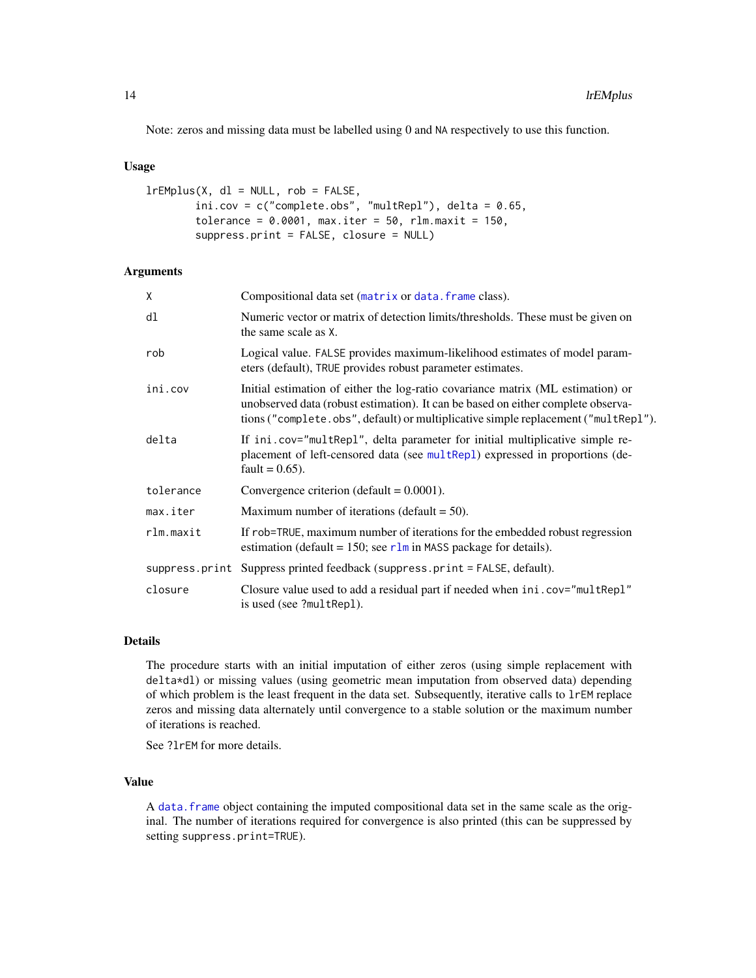<span id="page-13-0"></span>Note: zeros and missing data must be labelled using 0 and NA respectively to use this function.

#### Usage

```
lrEMplus(X, dl = NULL, rob = FALSE,
        ini.cov = c("complete.obs", "multRepl"), delta = 0.65,tolerance = 0.0001, max.iter = 50, rlm.maxit = 150,
       suppress.print = FALSE, closure = NULL)
```
# Arguments

| X         | Compositional data set (matrix or data. frame class).                                                                                                                                                                                                     |
|-----------|-----------------------------------------------------------------------------------------------------------------------------------------------------------------------------------------------------------------------------------------------------------|
| dl        | Numeric vector or matrix of detection limits/thresholds. These must be given on<br>the same scale as X.                                                                                                                                                   |
| rob       | Logical value. FALSE provides maximum-likelihood estimates of model param-<br>eters (default), TRUE provides robust parameter estimates.                                                                                                                  |
| ini.cov   | Initial estimation of either the log-ratio covariance matrix (ML estimation) or<br>unobserved data (robust estimation). It can be based on either complete observa-<br>tions ("complete.obs", default) or multiplicative simple replacement ("multRepl"). |
| delta     | If ini.cov="multRepl", delta parameter for initial multiplicative simple re-<br>placement of left-censored data (see multRepl) expressed in proportions (de-<br>fault = $0.65$ ).                                                                         |
| tolerance | Convergence criterion (default $= 0.0001$ ).                                                                                                                                                                                                              |
| max.iter  | Maximum number of iterations (default $=$ 50).                                                                                                                                                                                                            |
| rlm.maxit | If rob=TRUE, maximum number of iterations for the embedded robust regression<br>estimation (default = 150; see $r \ln m$ in MASS package for details).                                                                                                    |
|           | suppress.print Suppress printed feedback (suppress.print = FALSE, default).                                                                                                                                                                               |
| closure   | Closure value used to add a residual part if needed when ini.cov="multRepl"<br>is used (see ?multRepl).                                                                                                                                                   |

# Details

The procedure starts with an initial imputation of either zeros (using simple replacement with delta\*dl) or missing values (using geometric mean imputation from observed data) depending of which problem is the least frequent in the data set. Subsequently, iterative calls to lrEM replace zeros and missing data alternately until convergence to a stable solution or the maximum number of iterations is reached.

See ?lrEM for more details.

# Value

A [data.frame](#page-0-0) object containing the imputed compositional data set in the same scale as the original. The number of iterations required for convergence is also printed (this can be suppressed by setting suppress.print=TRUE).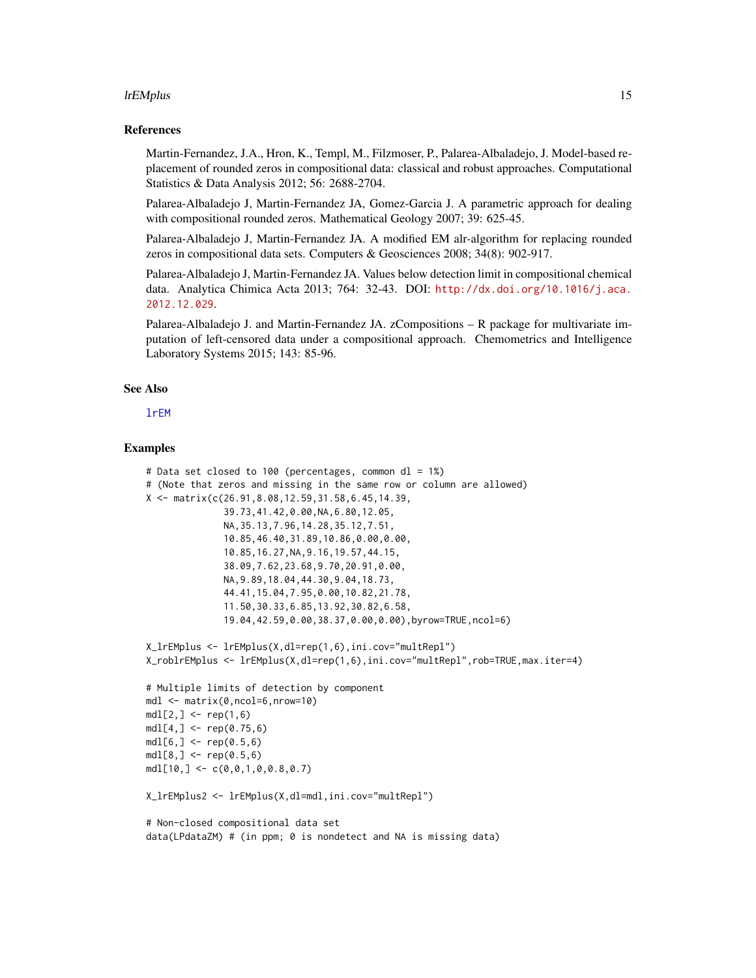#### <span id="page-14-0"></span>lrEMplus 15

#### References

Martin-Fernandez, J.A., Hron, K., Templ, M., Filzmoser, P., Palarea-Albaladejo, J. Model-based replacement of rounded zeros in compositional data: classical and robust approaches. Computational Statistics & Data Analysis 2012; 56: 2688-2704.

Palarea-Albaladejo J, Martin-Fernandez JA, Gomez-Garcia J. A parametric approach for dealing with compositional rounded zeros. Mathematical Geology 2007; 39: 625-45.

Palarea-Albaladejo J, Martin-Fernandez JA. A modified EM alr-algorithm for replacing rounded zeros in compositional data sets. Computers & Geosciences 2008; 34(8): 902-917.

Palarea-Albaladejo J, Martin-Fernandez JA. Values below detection limit in compositional chemical data. Analytica Chimica Acta 2013; 764: 32-43. DOI: [http://dx.doi.org/10.1016/j.aca.](http://dx.doi.org/10.1016/j.aca.2012.12.029) [2012.12.029](http://dx.doi.org/10.1016/j.aca.2012.12.029).

Palarea-Albaladejo J. and Martin-Fernandez JA. zCompositions – R package for multivariate imputation of left-censored data under a compositional approach. Chemometrics and Intelligence Laboratory Systems 2015; 143: 85-96.

#### See Also

[lrEM](#page-9-1)

#### Examples

```
# Data set closed to 100 (percentages, common dl = 1%)
# (Note that zeros and missing in the same row or column are allowed)
X <- matrix(c(26.91,8.08,12.59,31.58,6.45,14.39,
              39.73,41.42,0.00,NA,6.80,12.05,
              NA,35.13,7.96,14.28,35.12,7.51,
              10.85,46.40,31.89,10.86,0.00,0.00,
              10.85,16.27,NA,9.16,19.57,44.15,
              38.09,7.62,23.68,9.70,20.91,0.00,
              NA,9.89,18.04,44.30,9.04,18.73,
              44.41,15.04,7.95,0.00,10.82,21.78,
              11.50,30.33,6.85,13.92,30.82,6.58,
              19.04,42.59,0.00,38.37,0.00,0.00),byrow=TRUE,ncol=6)
X_lrEMplus <- lrEMplus(X,dl=rep(1,6),ini.cov="multRepl")
X_roblrEMplus <- lrEMplus(X,dl=rep(1,6),ini.cov="multRepl",rob=TRUE,max.iter=4)
# Multiple limits of detection by component
mdl <- matrix(0,ncol=6,nrow=10)
mdl[2, ] \leq rep(1, 6)mdl[4,] < - rep(0.75, 6)mdl[6, ] \leq rep(0.5, 6)mdl[8, ] \leq rep(0.5, 6)mdl[10, ] \leftarrow c(0, 0, 1, 0, 0.8, 0.7)X_lrEMplus2 <- lrEMplus(X,dl=mdl,ini.cov="multRepl")
# Non-closed compositional data set
data(LPdataZM) # (in ppm; 0 is nondetect and NA is missing data)
```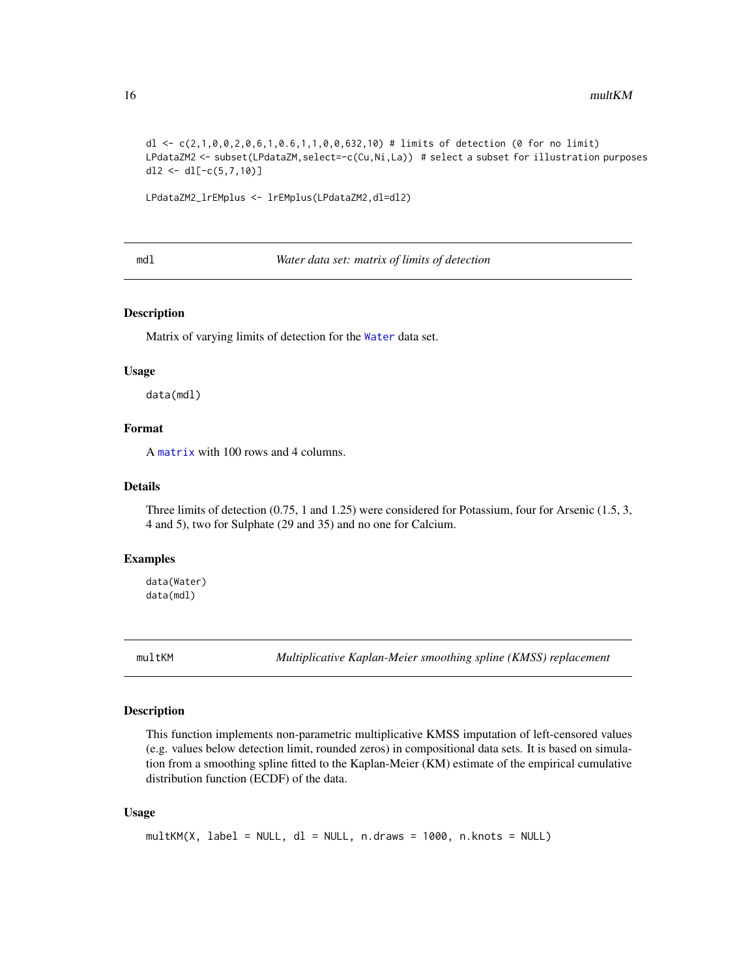<span id="page-15-0"></span>dl <- c(2,1,0,0,2,0,6,1,0.6,1,1,0,0,632,10) # limits of detection (0 for no limit) LPdataZM2 <- subset(LPdataZM, select=-c(Cu,Ni,La)) # select a subset for illustration purposes dl2 <- dl[-c(5,7,10)]

LPdataZM2\_lrEMplus <- lrEMplus(LPdataZM2,dl=dl2)

mdl *Water data set: matrix of limits of detection*

# Description

Matrix of varying limits of detection for the [Water](#page-26-1) data set.

#### Usage

data(mdl)

# Format

A [matrix](#page-0-0) with 100 rows and 4 columns.

#### Details

Three limits of detection (0.75, 1 and 1.25) were considered for Potassium, four for Arsenic (1.5, 3, 4 and 5), two for Sulphate (29 and 35) and no one for Calcium.

# Examples

data(Water) data(mdl)

<span id="page-15-1"></span>multKM *Multiplicative Kaplan-Meier smoothing spline (KMSS) replacement*

# Description

This function implements non-parametric multiplicative KMSS imputation of left-censored values (e.g. values below detection limit, rounded zeros) in compositional data sets. It is based on simulation from a smoothing spline fitted to the Kaplan-Meier (KM) estimate of the empirical cumulative distribution function (ECDF) of the data.

#### Usage

```
multKM(X, label = NULL, dl = NULL, n.draws = 1000, n.knots = NULL)
```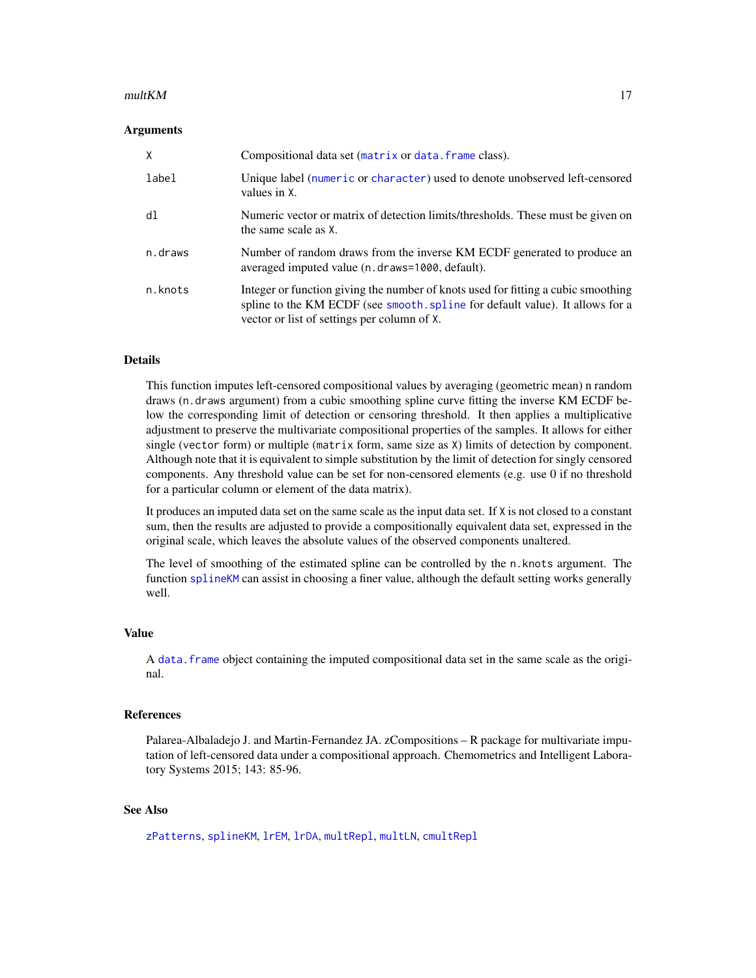#### <span id="page-16-0"></span> $multKM$  and the set of the set of the set of the set of the set of the set of the set of the set of the set of the set of the set of the set of the set of the set of the set of the set of the set of the set of the set of th

#### Arguments

| X       | Compositional data set (matrix or data. frame class).                                                                                                                                                             |
|---------|-------------------------------------------------------------------------------------------------------------------------------------------------------------------------------------------------------------------|
| label   | Unique label (numeric or character) used to denote unobserved left-censored<br>values in X.                                                                                                                       |
| dl      | Numeric vector or matrix of detection limits/thresholds. These must be given on<br>the same scale as X.                                                                                                           |
| n.draws | Number of random draws from the inverse KM ECDF generated to produce an<br>averaged imputed value (n.draws=1000, default).                                                                                        |
| n.knots | Integer or function giving the number of knots used for fitting a cubic smoothing<br>spline to the KM ECDF (see smooth. spline for default value). It allows for a<br>vector or list of settings per column of X. |

# Details

This function imputes left-censored compositional values by averaging (geometric mean) n random draws (n.draws argument) from a cubic smoothing spline curve fitting the inverse KM ECDF below the corresponding limit of detection or censoring threshold. It then applies a multiplicative adjustment to preserve the multivariate compositional properties of the samples. It allows for either single (vector form) or multiple (matrix form, same size as X) limits of detection by component. Although note that it is equivalent to simple substitution by the limit of detection for singly censored components. Any threshold value can be set for non-censored elements (e.g. use 0 if no threshold for a particular column or element of the data matrix).

It produces an imputed data set on the same scale as the input data set. If X is not closed to a constant sum, then the results are adjusted to provide a compositionally equivalent data set, expressed in the original scale, which leaves the absolute values of the observed components unaltered.

The level of smoothing of the estimated spline can be controlled by the n.knots argument. The function [splineKM](#page-25-1) can assist in choosing a finer value, although the default setting works generally well.

#### Value

A [data.frame](#page-0-0) object containing the imputed compositional data set in the same scale as the original.

### References

Palarea-Albaladejo J. and Martin-Fernandez JA. zCompositions – R package for multivariate imputation of left-censored data under a compositional approach. Chemometrics and Intelligent Laboratory Systems 2015; 143: 85-96.

# See Also

[zPatterns](#page-28-1), [splineKM](#page-25-1), [lrEM](#page-9-1), [lrDA](#page-6-1), [multRepl](#page-19-1), [multLN](#page-17-1), [cmultRepl](#page-1-1)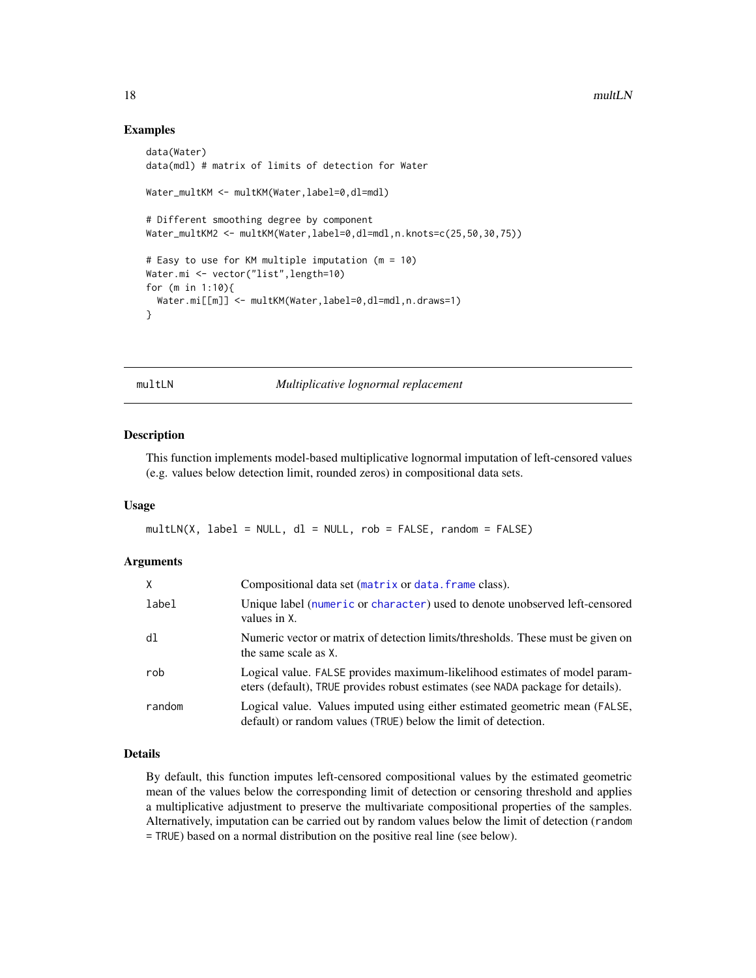### Examples

```
data(Water)
data(mdl) # matrix of limits of detection for Water
Water_multKM <- multKM(Water, label=0, dl=mdl)
# Different smoothing degree by component
Water_multKM2 <- multKM(Water,label=0,dl=mdl,n.knots=c(25,50,30,75))
# Easy to use for KM multiple imputation (m = 10)
Water.mi <- vector("list",length=10)
for (m in 1:10){
  Water.mi[[m]] <- multKM(Water,label=0,dl=mdl,n.draws=1)
}
```
multLN *Multiplicative lognormal replacement*

#### Description

This function implements model-based multiplicative lognormal imputation of left-censored values (e.g. values below detection limit, rounded zeros) in compositional data sets.

#### Usage

 $multLN(X, label = NULL, dl = NULL, rob = FALSE, random = FALSE)$ 

### **Arguments**

| $\mathsf{x}$ | Compositional data set (matrix or data. frame class).                                                                                                         |
|--------------|---------------------------------------------------------------------------------------------------------------------------------------------------------------|
| label        | Unique label (numeric or character) used to denote unobserved left-censored<br>values in X.                                                                   |
| d1           | Numeric vector or matrix of detection limits/thresholds. These must be given on<br>the same scale as X.                                                       |
| rob          | Logical value. FALSE provides maximum-likelihood estimates of model param-<br>eters (default), TRUE provides robust estimates (see NADA package for details). |
| random       | Logical value. Values imputed using either estimated geometric mean (FALSE,<br>default) or random values (TRUE) below the limit of detection.                 |

# Details

By default, this function imputes left-censored compositional values by the estimated geometric mean of the values below the corresponding limit of detection or censoring threshold and applies a multiplicative adjustment to preserve the multivariate compositional properties of the samples. Alternatively, imputation can be carried out by random values below the limit of detection (random = TRUE) based on a normal distribution on the positive real line (see below).

<span id="page-17-0"></span>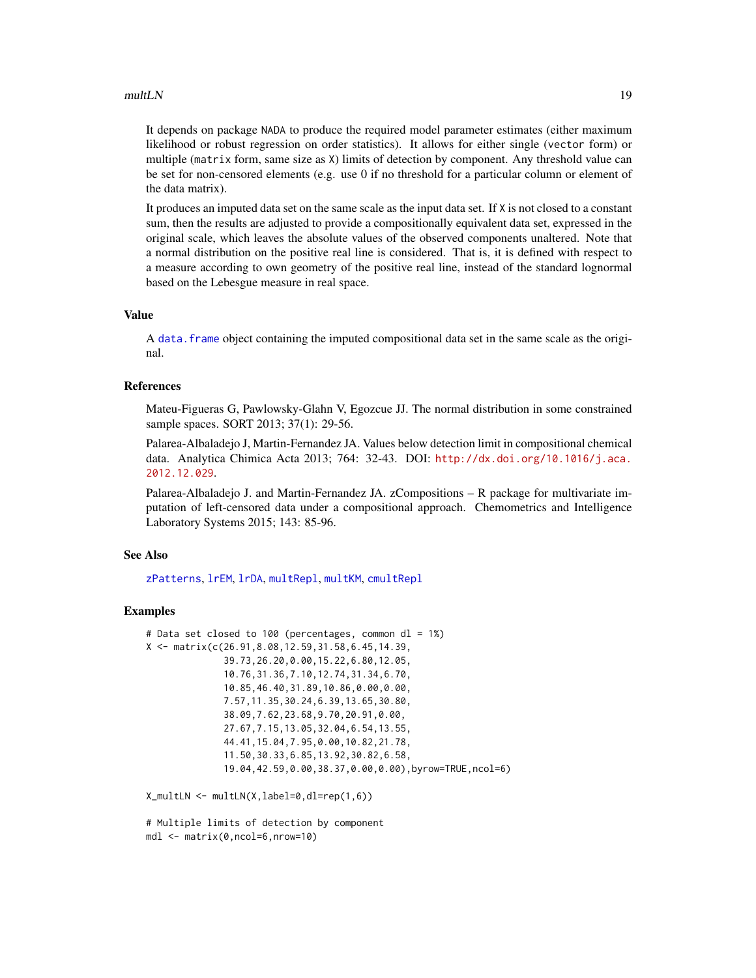#### <span id="page-18-0"></span> $multLN$  19

It depends on package NADA to produce the required model parameter estimates (either maximum likelihood or robust regression on order statistics). It allows for either single (vector form) or multiple (matrix form, same size as X) limits of detection by component. Any threshold value can be set for non-censored elements (e.g. use 0 if no threshold for a particular column or element of the data matrix).

It produces an imputed data set on the same scale as the input data set. If X is not closed to a constant sum, then the results are adjusted to provide a compositionally equivalent data set, expressed in the original scale, which leaves the absolute values of the observed components unaltered. Note that a normal distribution on the positive real line is considered. That is, it is defined with respect to a measure according to own geometry of the positive real line, instead of the standard lognormal based on the Lebesgue measure in real space.

#### Value

A [data.frame](#page-0-0) object containing the imputed compositional data set in the same scale as the original.

# References

Mateu-Figueras G, Pawlowsky-Glahn V, Egozcue JJ. The normal distribution in some constrained sample spaces. SORT 2013; 37(1): 29-56.

Palarea-Albaladejo J, Martin-Fernandez JA. Values below detection limit in compositional chemical data. Analytica Chimica Acta 2013; 764: 32-43. DOI: [http://dx.doi.org/10.1016/j.aca.](http://dx.doi.org/10.1016/j.aca.2012.12.029) [2012.12.029](http://dx.doi.org/10.1016/j.aca.2012.12.029).

Palarea-Albaladejo J. and Martin-Fernandez JA. zCompositions – R package for multivariate imputation of left-censored data under a compositional approach. Chemometrics and Intelligence Laboratory Systems 2015; 143: 85-96.

#### See Also

[zPatterns](#page-28-1), [lrEM](#page-9-1), [lrDA](#page-6-1), [multRepl](#page-19-1), [multKM](#page-15-1), [cmultRepl](#page-1-1)

#### Examples

```
# Data set closed to 100 (percentages, common dl = 1%)
X <- matrix(c(26.91,8.08,12.59,31.58,6.45,14.39,
              39.73,26.20,0.00,15.22,6.80,12.05,
              10.76,31.36,7.10,12.74,31.34,6.70,
              10.85,46.40,31.89,10.86,0.00,0.00,
              7.57,11.35,30.24,6.39,13.65,30.80,
              38.09,7.62,23.68,9.70,20.91,0.00,
              27.67,7.15,13.05,32.04,6.54,13.55,
              44.41,15.04,7.95,0.00,10.82,21.78,
              11.50,30.33,6.85,13.92,30.82,6.58,
              19.04,42.59,0.00,38.37,0.00,0.00),byrow=TRUE,ncol=6)
```
X\_multLN <- multLN(X,label=0,dl=rep(1,6))

# Multiple limits of detection by component mdl <- matrix(0,ncol=6,nrow=10)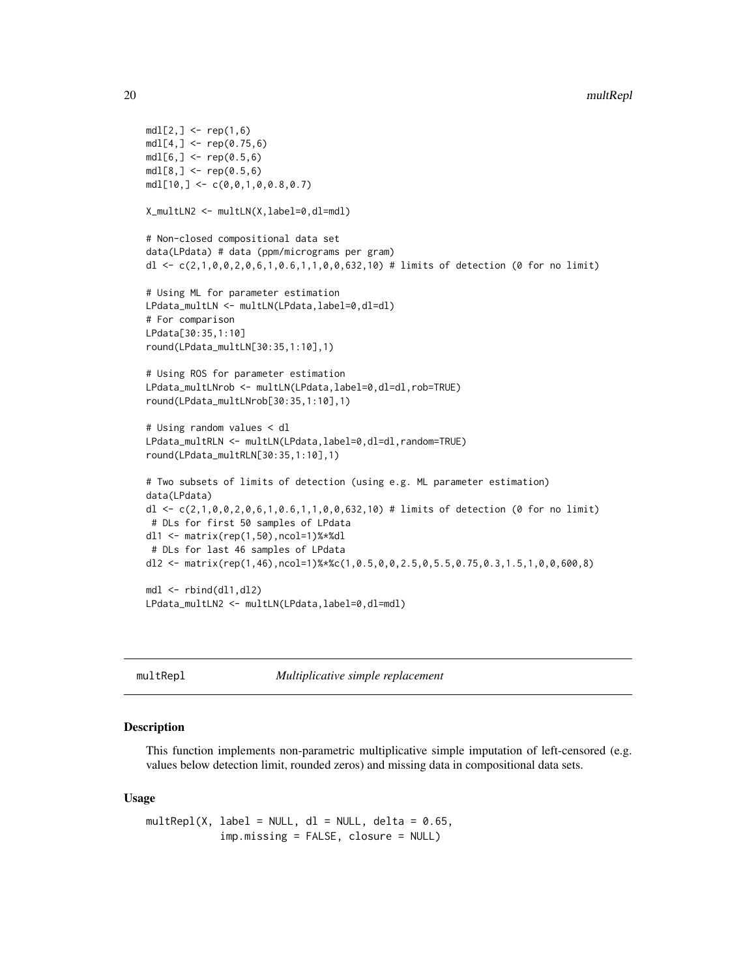```
mdl[2, ] \leq rep(1, 6)mdl[4,] < - rep(0.75, 6)mdl[6, ] \leq rep(0.5, 6)mdl[8, ] \leq rep(0.5, 6)mdl[10, ] \leftarrow c(0, 0, 1, 0, 0.8, 0.7)X_multLN2 <- multLN(X,label=0,dl=mdl)
# Non-closed compositional data set
data(LPdata) # data (ppm/micrograms per gram)
dl <- c(2,1,0,0,2,0,6,1,0.6,1,1,0,0,632,10) # limits of detection (0 for no limit)
# Using ML for parameter estimation
LPdata_multLN <- multLN(LPdata,label=0,dl=dl)
# For comparison
LPdata[30:35,1:10]
round(LPdata_multLN[30:35,1:10],1)
# Using ROS for parameter estimation
LPdata_multLNrob <- multLN(LPdata,label=0,dl=dl,rob=TRUE)
round(LPdata_multLNrob[30:35,1:10],1)
# Using random values < dl
LPdata_multRLN <- multLN(LPdata,label=0,dl=dl,random=TRUE)
round(LPdata_multRLN[30:35,1:10],1)
# Two subsets of limits of detection (using e.g. ML parameter estimation)
data(LPdata)
dl <- c(2,1,0,0,2,0,6,1,0.6,1,1,0,0,632,10) # limits of detection (0 for no limit)
# DLs for first 50 samples of LPdata
dl1 <- matrix(rep(1,50),ncol=1)%*%dl
 # DLs for last 46 samples of LPdata
dl2 <- matrix(rep(1,46),ncol=1)%*%c(1,0.5,0,0,2.5,0,5.5,0.75,0.3,1.5,1,0,0,600,8)
mdl <- rbind(dl1,dl2)
LPdata_multLN2 <- multLN(LPdata,label=0,dl=mdl)
```
<span id="page-19-1"></span>multRepl *Multiplicative simple replacement*

### Description

This function implements non-parametric multiplicative simple imputation of left-censored (e.g. values below detection limit, rounded zeros) and missing data in compositional data sets.

#### Usage

 $multRepl(X, label = NULL, dl = NULL, delta = 0.65,$ imp.missing = FALSE, closure = NULL)

<span id="page-19-0"></span>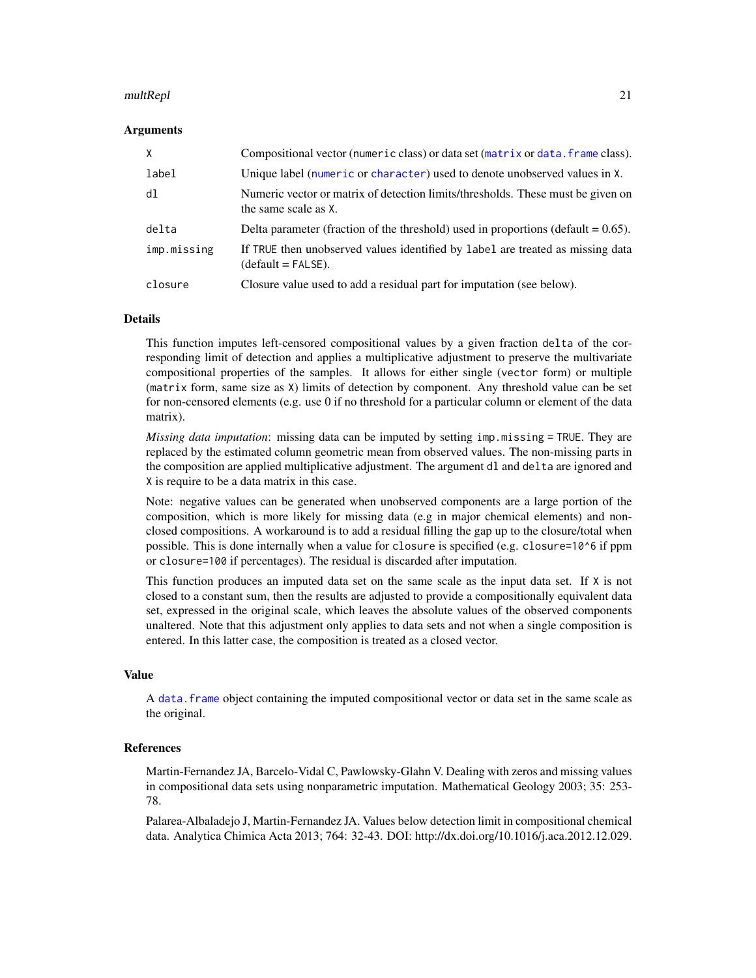#### <span id="page-20-0"></span>multRepl 21

#### Arguments

| X           | Compositional vector (numeric class) or data set (matrix or data. frame class).                         |
|-------------|---------------------------------------------------------------------------------------------------------|
| label       | Unique label (numeric or character) used to denote unobserved values in X.                              |
| dl          | Numeric vector or matrix of detection limits/thresholds. These must be given on<br>the same scale as X. |
| delta       | Delta parameter (fraction of the threshold) used in proportions (default $= 0.65$ ).                    |
| imp.missing | If TRUE then unobserved values identified by label are treated as missing data<br>$(detault = FALSE).$  |
| closure     | Closure value used to add a residual part for imputation (see below).                                   |

#### Details

This function imputes left-censored compositional values by a given fraction delta of the corresponding limit of detection and applies a multiplicative adjustment to preserve the multivariate compositional properties of the samples. It allows for either single (vector form) or multiple (matrix form, same size as X) limits of detection by component. Any threshold value can be set for non-censored elements (e.g. use 0 if no threshold for a particular column or element of the data matrix).

*Missing data imputation*: missing data can be imputed by setting imp.missing = TRUE. They are replaced by the estimated column geometric mean from observed values. The non-missing parts in the composition are applied multiplicative adjustment. The argument dl and delta are ignored and X is require to be a data matrix in this case.

Note: negative values can be generated when unobserved components are a large portion of the composition, which is more likely for missing data (e.g in major chemical elements) and nonclosed compositions. A workaround is to add a residual filling the gap up to the closure/total when possible. This is done internally when a value for closure is specified (e.g. closure=10^6 if ppm or closure=100 if percentages). The residual is discarded after imputation.

This function produces an imputed data set on the same scale as the input data set. If X is not closed to a constant sum, then the results are adjusted to provide a compositionally equivalent data set, expressed in the original scale, which leaves the absolute values of the observed components unaltered. Note that this adjustment only applies to data sets and not when a single composition is entered. In this latter case, the composition is treated as a closed vector.

#### Value

A [data.frame](#page-0-0) object containing the imputed compositional vector or data set in the same scale as the original.

#### References

Martin-Fernandez JA, Barcelo-Vidal C, Pawlowsky-Glahn V. Dealing with zeros and missing values in compositional data sets using nonparametric imputation. Mathematical Geology 2003; 35: 253- 78.

Palarea-Albaladejo J, Martin-Fernandez JA. Values below detection limit in compositional chemical data. Analytica Chimica Acta 2013; 764: 32-43. DOI: http://dx.doi.org/10.1016/j.aca.2012.12.029.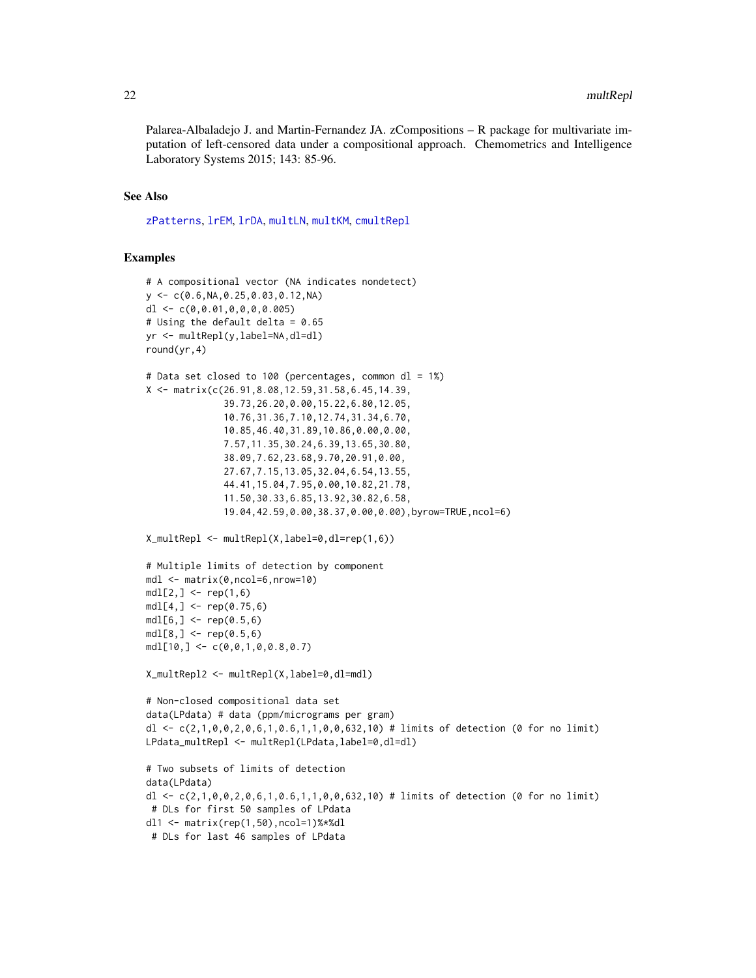<span id="page-21-0"></span>Palarea-Albaladejo J. and Martin-Fernandez JA. zCompositions – R package for multivariate imputation of left-censored data under a compositional approach. Chemometrics and Intelligence Laboratory Systems 2015; 143: 85-96.

# See Also

[zPatterns](#page-28-1), [lrEM](#page-9-1), [lrDA](#page-6-1), [multLN](#page-17-1), [multKM](#page-15-1), [cmultRepl](#page-1-1)

#### Examples

```
# A compositional vector (NA indicates nondetect)
y \leftarrow c(0.6, NA, 0.25, 0.03, 0.12, NA)dl \leftarrow c(0, 0.01, 0, 0, 0, 0.005)# Using the default delta = 0.65
yr <- multRepl(y,label=NA,dl=dl)
round(yr,4)
# Data set closed to 100 (percentages, common dl = 1%)
X <- matrix(c(26.91,8.08,12.59,31.58,6.45,14.39,
              39.73,26.20,0.00,15.22,6.80,12.05,
              10.76,31.36,7.10,12.74,31.34,6.70,
              10.85,46.40,31.89,10.86,0.00,0.00,
              7.57,11.35,30.24,6.39,13.65,30.80,
              38.09,7.62,23.68,9.70,20.91,0.00,
              27.67,7.15,13.05,32.04,6.54,13.55,
              44.41,15.04,7.95,0.00,10.82,21.78,
              11.50,30.33,6.85,13.92,30.82,6.58,
              19.04,42.59,0.00,38.37,0.00,0.00),byrow=TRUE,ncol=6)
X_multRepl <- multRepl(X,label=0,dl=rep(1,6))
# Multiple limits of detection by component
mdl <- matrix(0,ncol=6,nrow=10)
mdl[2, ] \leq - rep(1, 6)mdl[4,] < - rep(0.75, 6)mdl[6, ] \leq rep(0.5, 6)mdl[8, ] \leq rep(0.5, 6)mdl[10, ] \leq C(0, 0, 1, 0, 0.8, 0.7)X_multRepl2 <- multRepl(X,label=0,dl=mdl)
# Non-closed compositional data set
data(LPdata) # data (ppm/micrograms per gram)
dl <- c(2,1,0,0,2,0,6,1,0.6,1,1,0,0,632,10) # limits of detection (0 for no limit)
LPdata_multRepl <- multRepl(LPdata,label=0,dl=dl)
# Two subsets of limits of detection
data(LPdata)
dl <- c(2,1,0,0,2,0,6,1,0.6,1,1,0,0,632,10) # limits of detection (0 for no limit)
# DLs for first 50 samples of LPdata
dl1 <- matrix(rep(1,50),ncol=1)%*%dl
 # DLs for last 46 samples of LPdata
```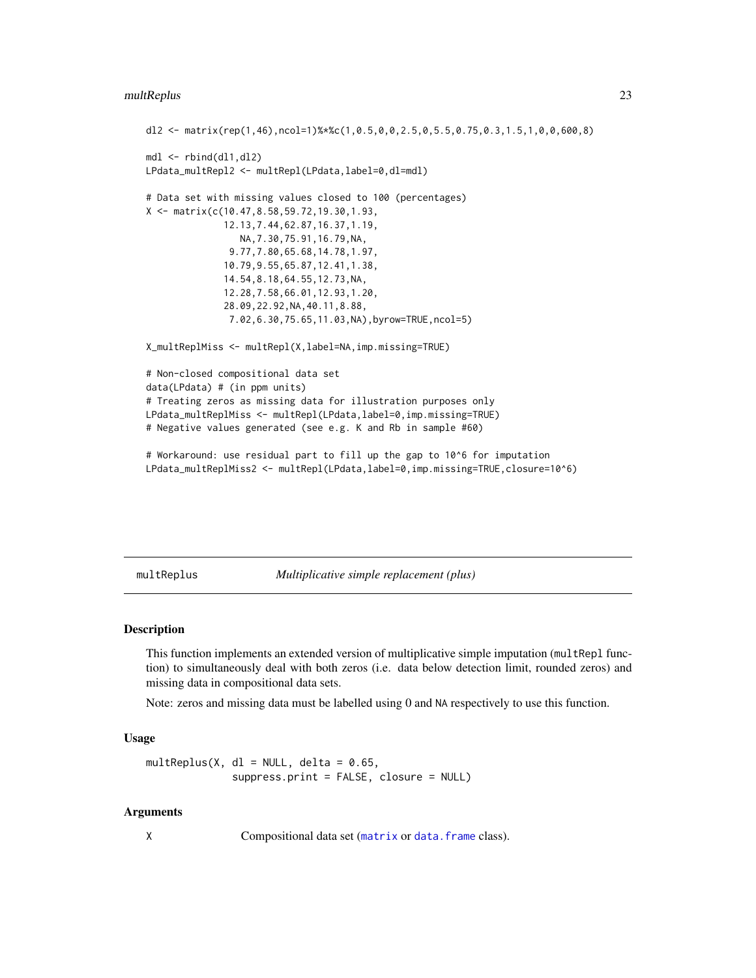# <span id="page-22-0"></span>multReplus 23

```
dl2 <- matrix(rep(1,46),ncol=1)%*%c(1,0.5,0,0,2.5,0,5.5,0.75,0.3,1.5,1,0,0,600,8)
mdl <- rbind(dl1,dl2)
LPdata_multRepl2 <- multRepl(LPdata,label=0,dl=mdl)
# Data set with missing values closed to 100 (percentages)
X <- matrix(c(10.47,8.58,59.72,19.30,1.93,
              12.13,7.44,62.87,16.37,1.19,
                 NA,7.30,75.91,16.79,NA,
               9.77,7.80,65.68,14.78,1.97,
              10.79,9.55,65.87,12.41,1.38,
              14.54,8.18,64.55,12.73,NA,
              12.28,7.58,66.01,12.93,1.20,
              28.09,22.92,NA,40.11,8.88,
               7.02,6.30,75.65,11.03,NA),byrow=TRUE,ncol=5)
X_multReplMiss <- multRepl(X,label=NA,imp.missing=TRUE)
# Non-closed compositional data set
data(LPdata) # (in ppm units)
# Treating zeros as missing data for illustration purposes only
LPdata_multReplMiss <- multRepl(LPdata,label=0,imp.missing=TRUE)
# Negative values generated (see e.g. K and Rb in sample #60)
# Workaround: use residual part to fill up the gap to 10^6 for imputation
LPdata_multReplMiss2 <- multRepl(LPdata,label=0,imp.missing=TRUE,closure=10^6)
```
<span id="page-22-1"></span>multReplus *Multiplicative simple replacement (plus)*

# Description

This function implements an extended version of multiplicative simple imputation (multRepl function) to simultaneously deal with both zeros (i.e. data below detection limit, rounded zeros) and missing data in compositional data sets.

Note: zeros and missing data must be labelled using 0 and NA respectively to use this function.

#### Usage

 $multReplus(X, d1 = NULL, delta = 0.65,$ suppress.print = FALSE, closure = NULL)

#### Arguments

X Compositional data set ([matrix](#page-0-0) or [data.frame](#page-0-0) class).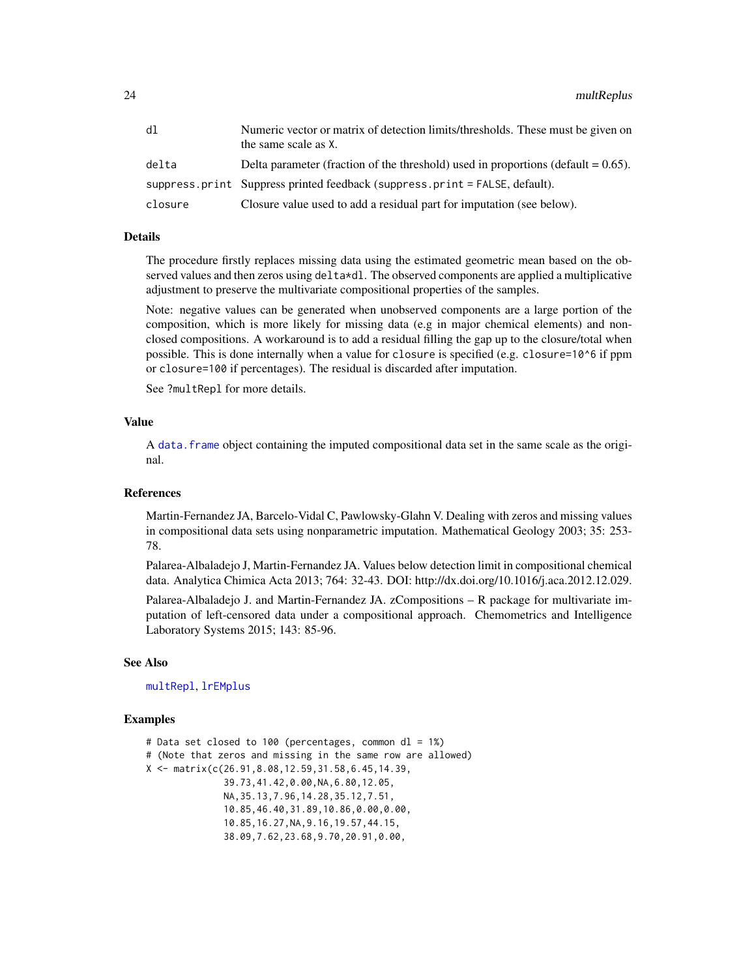<span id="page-23-0"></span>

| dl      | Numeric vector or matrix of detection limits/thresholds. These must be given on<br>the same scale as X. |
|---------|---------------------------------------------------------------------------------------------------------|
| delta   | Delta parameter (fraction of the threshold) used in proportions (default $= 0.65$ ).                    |
|         | suppress.print Suppress printed feedback (suppress.print = $FALSE$ , default).                          |
| closure | Closure value used to add a residual part for imputation (see below).                                   |

# Details

The procedure firstly replaces missing data using the estimated geometric mean based on the observed values and then zeros using delta\*dl. The observed components are applied a multiplicative adjustment to preserve the multivariate compositional properties of the samples.

Note: negative values can be generated when unobserved components are a large portion of the composition, which is more likely for missing data (e.g in major chemical elements) and nonclosed compositions. A workaround is to add a residual filling the gap up to the closure/total when possible. This is done internally when a value for closure is specified (e.g. closure=10^6 if ppm or closure=100 if percentages). The residual is discarded after imputation.

See ?multRepl for more details.

# Value

A [data.frame](#page-0-0) object containing the imputed compositional data set in the same scale as the original.

#### References

Martin-Fernandez JA, Barcelo-Vidal C, Pawlowsky-Glahn V. Dealing with zeros and missing values in compositional data sets using nonparametric imputation. Mathematical Geology 2003; 35: 253- 78.

Palarea-Albaladejo J, Martin-Fernandez JA. Values below detection limit in compositional chemical data. Analytica Chimica Acta 2013; 764: 32-43. DOI: http://dx.doi.org/10.1016/j.aca.2012.12.029.

Palarea-Albaladejo J. and Martin-Fernandez JA. zCompositions – R package for multivariate imputation of left-censored data under a compositional approach. Chemometrics and Intelligence Laboratory Systems 2015; 143: 85-96.

#### See Also

[multRepl](#page-19-1), [lrEMplus](#page-12-1)

#### Examples

```
# Data set closed to 100 (percentages, common dl = 1%)
# (Note that zeros and missing in the same row are allowed)
X <- matrix(c(26.91,8.08,12.59,31.58,6.45,14.39,
              39.73,41.42,0.00,NA,6.80,12.05,
              NA,35.13,7.96,14.28,35.12,7.51,
              10.85,46.40,31.89,10.86,0.00,0.00,
              10.85,16.27,NA,9.16,19.57,44.15,
              38.09,7.62,23.68,9.70,20.91,0.00,
```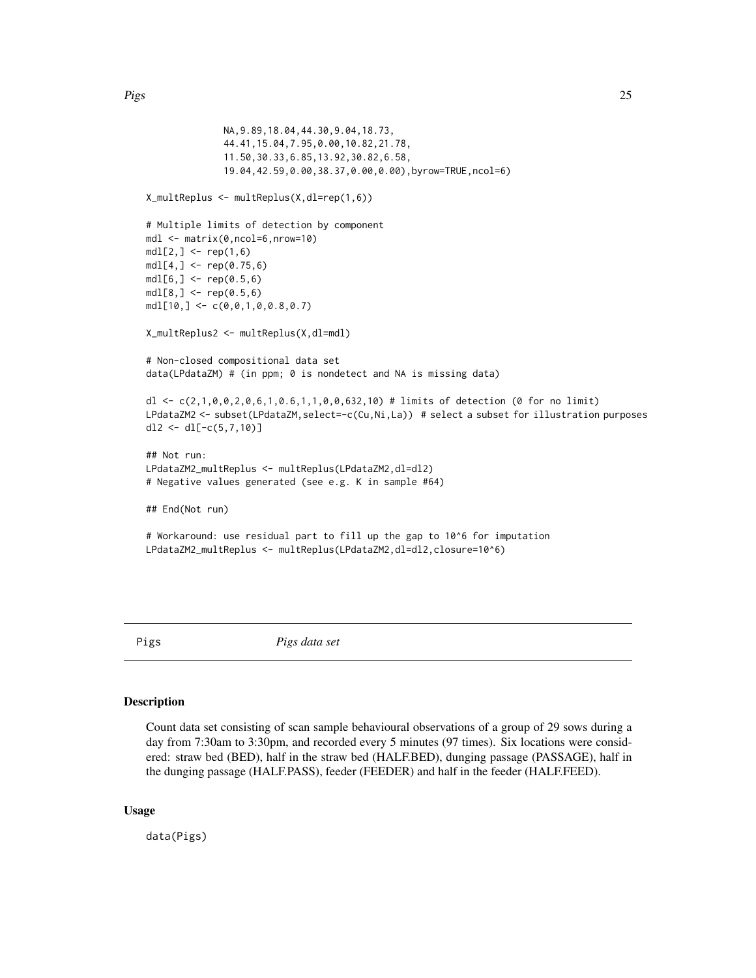```
NA,9.89,18.04,44.30,9.04,18.73,
              44.41,15.04,7.95,0.00,10.82,21.78,
              11.50,30.33,6.85,13.92,30.82,6.58,
              19.04,42.59,0.00,38.37,0.00,0.00),byrow=TRUE,ncol=6)
X_multReplus <- multReplus(X,dl=rep(1,6))
# Multiple limits of detection by component
mdl <- matrix(0,ncol=6,nrow=10)
mdl[2, ] \leq rep(1, 6)mdl[4,] < - rep(0.75, 6)mdl[6, ] <- rep(0.5, 6)mdl[8, ] <- rep(0.5, 6)mdl[10, ] \leftarrow c(0, 0, 1, 0, 0.8, 0.7)X_multReplus2 <- multReplus(X,dl=mdl)
# Non-closed compositional data set
data(LPdataZM) # (in ppm; 0 is nondetect and NA is missing data)
dl <- c(2,1,0,0,2,0,6,1,0.6,1,1,0,0,632,10) # limits of detection (0 for no limit)
LPdataZM2 <- subset(LPdataZM, select=-c(Cu,Ni,La)) # select a subset for illustration purposes
dl2 <- dl[-c(5,7,10)]
## Not run:
LPdataZM2_multReplus <- multReplus(LPdataZM2,dl=dl2)
# Negative values generated (see e.g. K in sample #64)
## End(Not run)
# Workaround: use residual part to fill up the gap to 10^6 for imputation
LPdataZM2_multReplus <- multReplus(LPdataZM2,dl=dl2,closure=10^6)
```
Pigs *Pigs data set*

#### Description

Count data set consisting of scan sample behavioural observations of a group of 29 sows during a day from 7:30am to 3:30pm, and recorded every 5 minutes (97 times). Six locations were considered: straw bed (BED), half in the straw bed (HALF.BED), dunging passage (PASSAGE), half in the dunging passage (HALF.PASS), feeder (FEEDER) and half in the feeder (HALF.FEED).

#### Usage

data(Pigs)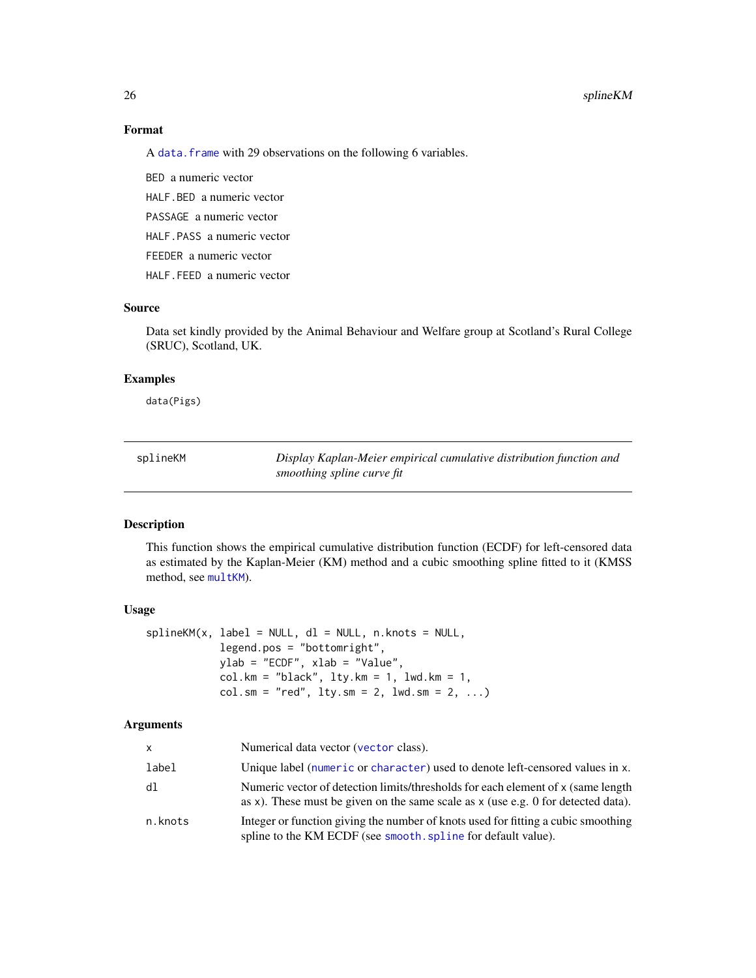#### 26 splineKM

# Format

A data. frame with 29 observations on the following 6 variables.

BED a numeric vector

HALF.BED a numeric vector

PASSAGE a numeric vector

HALF.PASS a numeric vector

FEEDER a numeric vector

HALF.FEED a numeric vector

# Source

Data set kindly provided by the Animal Behaviour and Welfare group at Scotland's Rural College (SRUC), Scotland, UK.

#### Examples

data(Pigs)

<span id="page-25-1"></span>

| splineKM | Display Kaplan-Meier empirical cumulative distribution function and |
|----------|---------------------------------------------------------------------|
|          | smoothing spline curve fit                                          |

# Description

This function shows the empirical cumulative distribution function (ECDF) for left-censored data as estimated by the Kaplan-Meier (KM) method and a cubic smoothing spline fitted to it (KMSS method, see [multKM](#page-15-1)).

# Usage

```
splitneKM(x, label = NULL, dl = NULL, n.knots = NULL,
            legend.pos = "bottomright",
            ylab = "ECDF", xlab = "Value",
            col.km = "black", \, lty.km = 1, \, lwd.km = 1,col.sm = "red", lty.sm = 2, lwd.sm = 2, ...)
```
#### Arguments

| $\mathsf{x}$ | Numerical data vector (vector class).                                                                                                                                   |
|--------------|-------------------------------------------------------------------------------------------------------------------------------------------------------------------------|
| label        | Unique label (numeric or character) used to denote left-censored values in x.                                                                                           |
| dl           | Numeric vector of detection limits/thresholds for each element of x (same length<br>as x). These must be given on the same scale as $x$ (use e.g. 0 for detected data). |
| n.knots      | Integer or function giving the number of knots used for fitting a cubic smoothing<br>spline to the KM ECDF (see smooth. spline for default value).                      |

<span id="page-25-0"></span>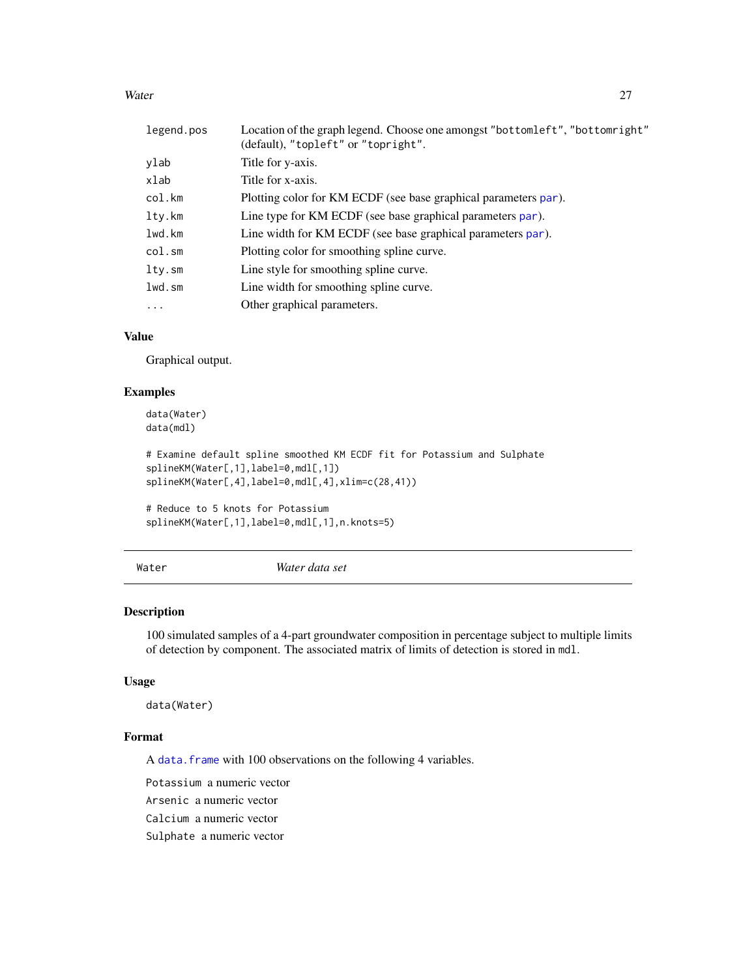#### <span id="page-26-0"></span>Water 27

| legend.pos | Location of the graph legend. Choose one amongst "bottomleft", "bottomright"<br>(default), "topleft" or "topright". |
|------------|---------------------------------------------------------------------------------------------------------------------|
| ylab       | Title for y-axis.                                                                                                   |
| xlab       | Title for x-axis.                                                                                                   |
| col.km     | Plotting color for KM ECDF (see base graphical parameters par).                                                     |
| ltv.km     | Line type for KM ECDF (see base graphical parameters par).                                                          |
| lwd.km     | Line width for KM ECDF (see base graphical parameters par).                                                         |
| col.sm     | Plotting color for smoothing spline curve.                                                                          |
| lty.sm     | Line style for smoothing spline curve.                                                                              |
| lwd.sm     | Line width for smoothing spline curve.                                                                              |
| $\ddots$ . | Other graphical parameters.                                                                                         |

# Value

Graphical output.

### Examples

```
data(Water)
data(mdl)
```

```
# Examine default spline smoothed KM ECDF fit for Potassium and Sulphate
splineKM(Water[,1],label=0,mdl[,1])
splineKM(Water[,4],label=0,mdl[,4],xlim=c(28,41))
```

```
# Reduce to 5 knots for Potassium
splineKM(Water[,1],label=0,mdl[,1],n.knots=5)
```
<span id="page-26-1"></span>Water *Water data set*

# Description

100 simulated samples of a 4-part groundwater composition in percentage subject to multiple limits of detection by component. The associated matrix of limits of detection is stored in mdl.

# Usage

data(Water)

# Format

A [data.frame](#page-0-0) with 100 observations on the following 4 variables.

Potassium a numeric vector Arsenic a numeric vector

Calcium a numeric vector

Sulphate a numeric vector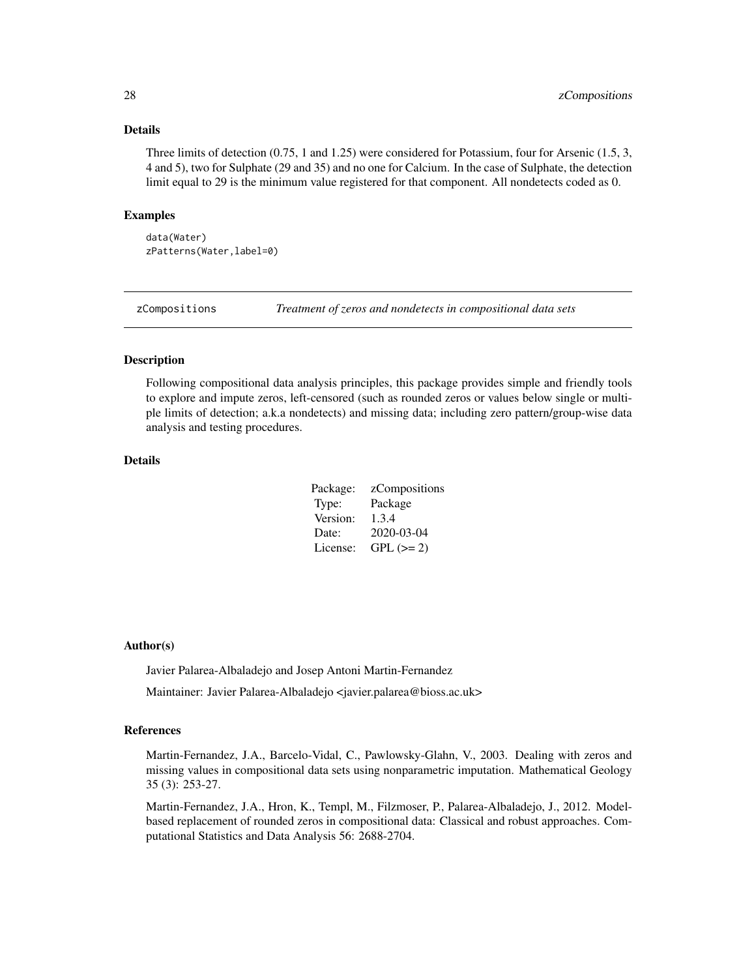#### Details

Three limits of detection (0.75, 1 and 1.25) were considered for Potassium, four for Arsenic (1.5, 3, 4 and 5), two for Sulphate (29 and 35) and no one for Calcium. In the case of Sulphate, the detection limit equal to 29 is the minimum value registered for that component. All nondetects coded as 0.

#### Examples

data(Water) zPatterns(Water,label=0)

zCompositions *Treatment of zeros and nondetects in compositional data sets*

# Description

Following compositional data analysis principles, this package provides simple and friendly tools to explore and impute zeros, left-censored (such as rounded zeros or values below single or multiple limits of detection; a.k.a nondetects) and missing data; including zero pattern/group-wise data analysis and testing procedures.

#### Details

| Package: | zCompositions |
|----------|---------------|
| Type:    | Package       |
| Version: | 1.3.4         |
| Date:    | 2020-03-04    |
| License: | $GPL (= 2)$   |

#### Author(s)

Javier Palarea-Albaladejo and Josep Antoni Martin-Fernandez

Maintainer: Javier Palarea-Albaladejo <javier.palarea@bioss.ac.uk>

#### References

Martin-Fernandez, J.A., Barcelo-Vidal, C., Pawlowsky-Glahn, V., 2003. Dealing with zeros and missing values in compositional data sets using nonparametric imputation. Mathematical Geology 35 (3): 253-27.

Martin-Fernandez, J.A., Hron, K., Templ, M., Filzmoser, P., Palarea-Albaladejo, J., 2012. Modelbased replacement of rounded zeros in compositional data: Classical and robust approaches. Computational Statistics and Data Analysis 56: 2688-2704.

<span id="page-27-0"></span>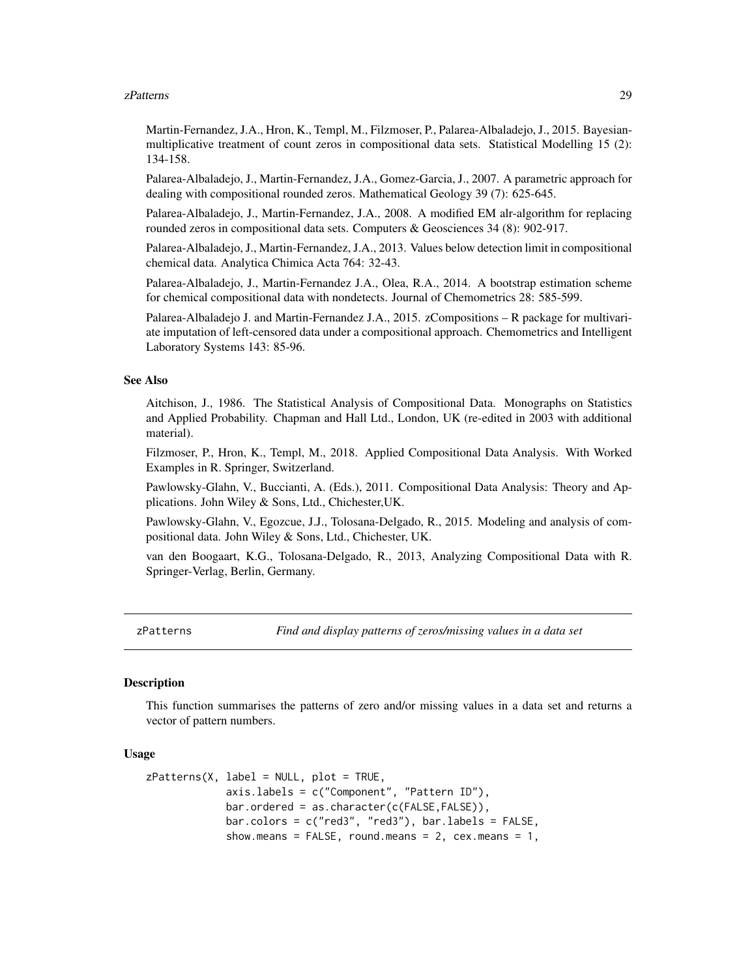#### <span id="page-28-0"></span>zPatterns 29

Martin-Fernandez, J.A., Hron, K., Templ, M., Filzmoser, P., Palarea-Albaladejo, J., 2015. Bayesianmultiplicative treatment of count zeros in compositional data sets. Statistical Modelling 15 (2): 134-158.

Palarea-Albaladejo, J., Martin-Fernandez, J.A., Gomez-Garcia, J., 2007. A parametric approach for dealing with compositional rounded zeros. Mathematical Geology 39 (7): 625-645.

Palarea-Albaladejo, J., Martin-Fernandez, J.A., 2008. A modified EM alr-algorithm for replacing rounded zeros in compositional data sets. Computers & Geosciences 34 (8): 902-917.

Palarea-Albaladejo, J., Martin-Fernandez, J.A., 2013. Values below detection limit in compositional chemical data. Analytica Chimica Acta 764: 32-43.

Palarea-Albaladejo, J., Martin-Fernandez J.A., Olea, R.A., 2014. A bootstrap estimation scheme for chemical compositional data with nondetects. Journal of Chemometrics 28: 585-599.

Palarea-Albaladejo J. and Martin-Fernandez J.A., 2015. zCompositions – R package for multivariate imputation of left-censored data under a compositional approach. Chemometrics and Intelligent Laboratory Systems 143: 85-96.

#### See Also

Aitchison, J., 1986. The Statistical Analysis of Compositional Data. Monographs on Statistics and Applied Probability. Chapman and Hall Ltd., London, UK (re-edited in 2003 with additional material).

Filzmoser, P., Hron, K., Templ, M., 2018. Applied Compositional Data Analysis. With Worked Examples in R. Springer, Switzerland.

Pawlowsky-Glahn, V., Buccianti, A. (Eds.), 2011. Compositional Data Analysis: Theory and Applications. John Wiley & Sons, Ltd., Chichester,UK.

Pawlowsky-Glahn, V., Egozcue, J.J., Tolosana-Delgado, R., 2015. Modeling and analysis of compositional data. John Wiley & Sons, Ltd., Chichester, UK.

van den Boogaart, K.G., Tolosana-Delgado, R., 2013, Analyzing Compositional Data with R. Springer-Verlag, Berlin, Germany.

<span id="page-28-1"></span>zPatterns *Find and display patterns of zeros/missing values in a data set*

#### **Description**

This function summarises the patterns of zero and/or missing values in a data set and returns a vector of pattern numbers.

#### Usage

```
zPatterns(X, label = NULL, plot = TRUE,
             axis.labels = c("Component", "Pattern ID"),
             bar.ordered = as.character(c(FALSE,FALSE)),
             bar.colors = c("red3", "red3"), bar.labels = FALSE,
             show.means = FALSE, round.means = 2, cex. means = 1,
```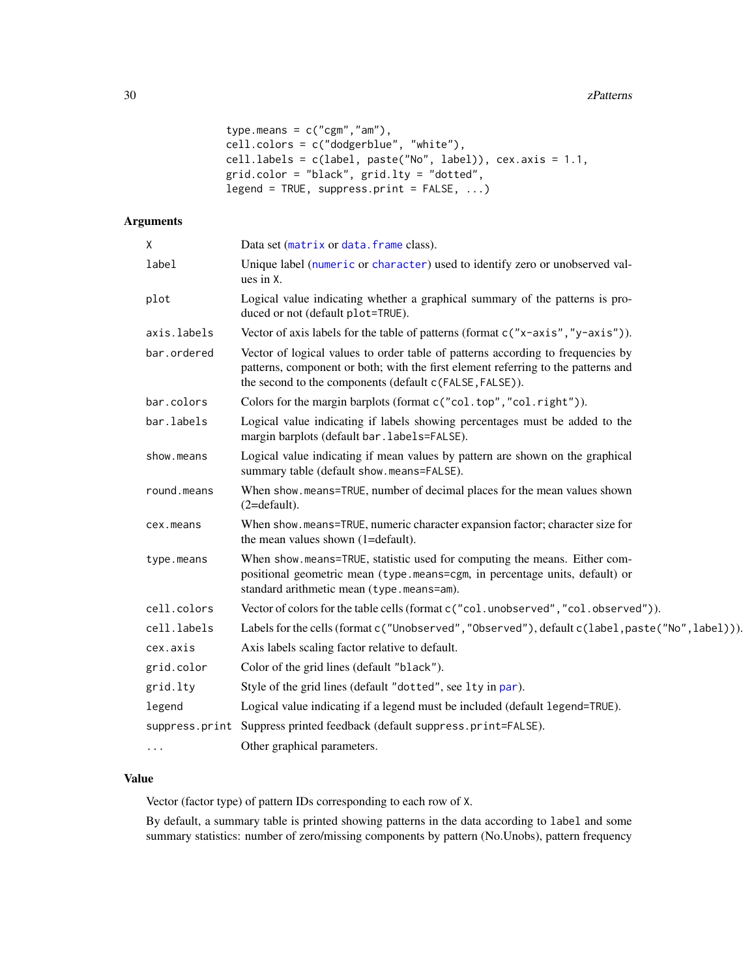```
type.means = c("cgm", "am"),
cell.colors = c("dodgerblue", "white"),
cell.labels = c(label, paste("No", label)), cex.axis = 1.1,
grid.color = "black", grid.lty = "dotted",
legend = TRUE, suppress.print = FALSE, ...)
```
# Arguments

| Χ           | Data set (matrix or data. frame class).                                                                                                                                                                                         |
|-------------|---------------------------------------------------------------------------------------------------------------------------------------------------------------------------------------------------------------------------------|
| label       | Unique label (numeric or character) used to identify zero or unobserved val-<br>ues in X.                                                                                                                                       |
| plot        | Logical value indicating whether a graphical summary of the patterns is pro-<br>duced or not (default plot=TRUE).                                                                                                               |
| axis.labels | Vector of axis labels for the table of patterns (format c("x-axis","y-axis")).                                                                                                                                                  |
| bar.ordered | Vector of logical values to order table of patterns according to frequencies by<br>patterns, component or both; with the first element referring to the patterns and<br>the second to the components (default c(FALSE, FALSE)). |
| bar.colors  | Colors for the margin barplots (format c("col.top", "col.right")).                                                                                                                                                              |
| bar.labels  | Logical value indicating if labels showing percentages must be added to the<br>margin barplots (default bar. labels=FALSE).                                                                                                     |
| show.means  | Logical value indicating if mean values by pattern are shown on the graphical<br>summary table (default show.means=FALSE).                                                                                                      |
| round.means | When show means=TRUE, number of decimal places for the mean values shown<br>$(2=default).$                                                                                                                                      |
| cex.means   | When show.means=TRUE, numeric character expansion factor; character size for<br>the mean values shown (1=default).                                                                                                              |
| type.means  | When show means=TRUE, statistic used for computing the means. Either com-<br>positional geometric mean (type.means=cgm, in percentage units, default) or<br>standard arithmetic mean (type.means=am).                           |
| cell.colors | Vector of colors for the table cells (format c ("col. unobserved", "col. observed")).                                                                                                                                           |
| cell.labels | Labels for the cells (format c("Unobserved", "Observed"), default c(label, paste("No", label))).                                                                                                                                |
| cex.axis    | Axis labels scaling factor relative to default.                                                                                                                                                                                 |
| grid.color  | Color of the grid lines (default "black").                                                                                                                                                                                      |
| grid.lty    | Style of the grid lines (default "dotted", see 1ty in par).                                                                                                                                                                     |
| legend      | Logical value indicating if a legend must be included (default legend=TRUE).                                                                                                                                                    |
|             | suppress.print Suppress printed feedback (default suppress.print=FALSE).                                                                                                                                                        |
| $\cdots$    | Other graphical parameters.                                                                                                                                                                                                     |

# Value

Vector (factor type) of pattern IDs corresponding to each row of X.

By default, a summary table is printed showing patterns in the data according to label and some summary statistics: number of zero/missing components by pattern (No.Unobs), pattern frequency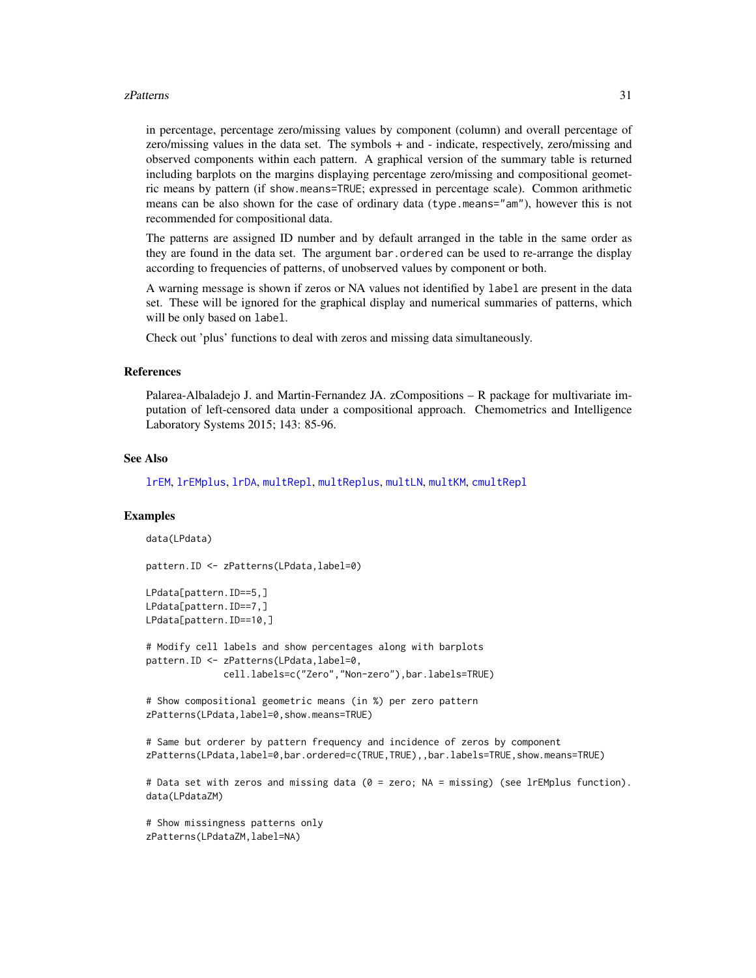#### <span id="page-30-0"></span> $z$ Patterns  $31$

in percentage, percentage zero/missing values by component (column) and overall percentage of zero/missing values in the data set. The symbols + and - indicate, respectively, zero/missing and observed components within each pattern. A graphical version of the summary table is returned including barplots on the margins displaying percentage zero/missing and compositional geometric means by pattern (if show.means=TRUE; expressed in percentage scale). Common arithmetic means can be also shown for the case of ordinary data (type.means="am"), however this is not recommended for compositional data.

The patterns are assigned ID number and by default arranged in the table in the same order as they are found in the data set. The argument bar.ordered can be used to re-arrange the display according to frequencies of patterns, of unobserved values by component or both.

A warning message is shown if zeros or NA values not identified by label are present in the data set. These will be ignored for the graphical display and numerical summaries of patterns, which will be only based on label.

Check out 'plus' functions to deal with zeros and missing data simultaneously.

#### References

Palarea-Albaladejo J. and Martin-Fernandez JA. zCompositions – R package for multivariate imputation of left-censored data under a compositional approach. Chemometrics and Intelligence Laboratory Systems 2015; 143: 85-96.

#### See Also

[lrEM](#page-9-1), [lrEMplus](#page-12-1), [lrDA](#page-6-1), [multRepl](#page-19-1), [multReplus](#page-22-1), [multLN](#page-17-1), [multKM](#page-15-1), [cmultRepl](#page-1-1)

## Examples

```
data(LPdata)
```

```
pattern.ID <- zPatterns(LPdata,label=0)
```

```
LPdata[pattern.ID==5,]
LPdata[pattern.ID==7,]
LPdata[pattern.ID==10,]
```

```
# Modify cell labels and show percentages along with barplots
pattern.ID <- zPatterns(LPdata,label=0,
             cell.labels=c("Zero","Non-zero"),bar.labels=TRUE)
```
# Show compositional geometric means (in %) per zero pattern zPatterns(LPdata, label=0, show.means=TRUE)

```
# Same but orderer by pattern frequency and incidence of zeros by component
zPatterns(LPdata,label=0,bar.ordered=c(TRUE,TRUE),,bar.labels=TRUE,show.means=TRUE)
```

```
# Data set with zeros and missing data (0 = zero; NA = missing) (see lrEMplus function).
data(LPdataZM)
```
# Show missingness patterns only zPatterns(LPdataZM,label=NA)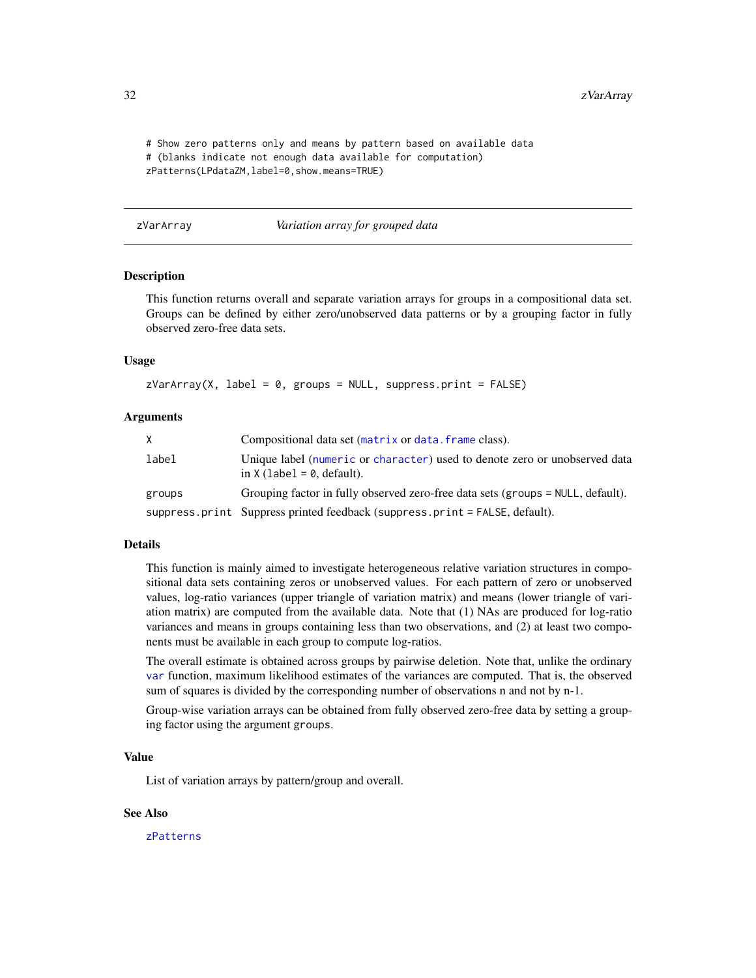<span id="page-31-0"></span># Show zero patterns only and means by pattern based on available data # (blanks indicate not enough data available for computation) zPatterns(LPdataZM,label=0,show.means=TRUE)

<span id="page-31-1"></span>zVarArray *Variation array for grouped data*

#### Description

This function returns overall and separate variation arrays for groups in a compositional data set. Groups can be defined by either zero/unobserved data patterns or by a grouping factor in fully observed zero-free data sets.

### Usage

 $zVarArray(X, label = 0, groups = NULL, suppress.print = FALSE)$ 

#### Arguments

| X.     | Compositional data set (matrix or data, frame class).                                                      |
|--------|------------------------------------------------------------------------------------------------------------|
| label  | Unique label (numeric or character) used to denote zero or unobserved data<br>in $X$ (label = 0, default). |
| groups | Grouping factor in fully observed zero-free data sets (groups = NULL, default).                            |
|        | suppress.print Suppress printed feedback (suppress.print = FALSE, default).                                |

### Details

This function is mainly aimed to investigate heterogeneous relative variation structures in compositional data sets containing zeros or unobserved values. For each pattern of zero or unobserved values, log-ratio variances (upper triangle of variation matrix) and means (lower triangle of variation matrix) are computed from the available data. Note that (1) NAs are produced for log-ratio variances and means in groups containing less than two observations, and (2) at least two components must be available in each group to compute log-ratios.

The overall estimate is obtained across groups by pairwise deletion. Note that, unlike the ordinary [var](#page-0-0) function, maximum likelihood estimates of the variances are computed. That is, the observed sum of squares is divided by the corresponding number of observations n and not by n-1.

Group-wise variation arrays can be obtained from fully observed zero-free data by setting a grouping factor using the argument groups.

# Value

List of variation arrays by pattern/group and overall.

#### See Also

[zPatterns](#page-28-1)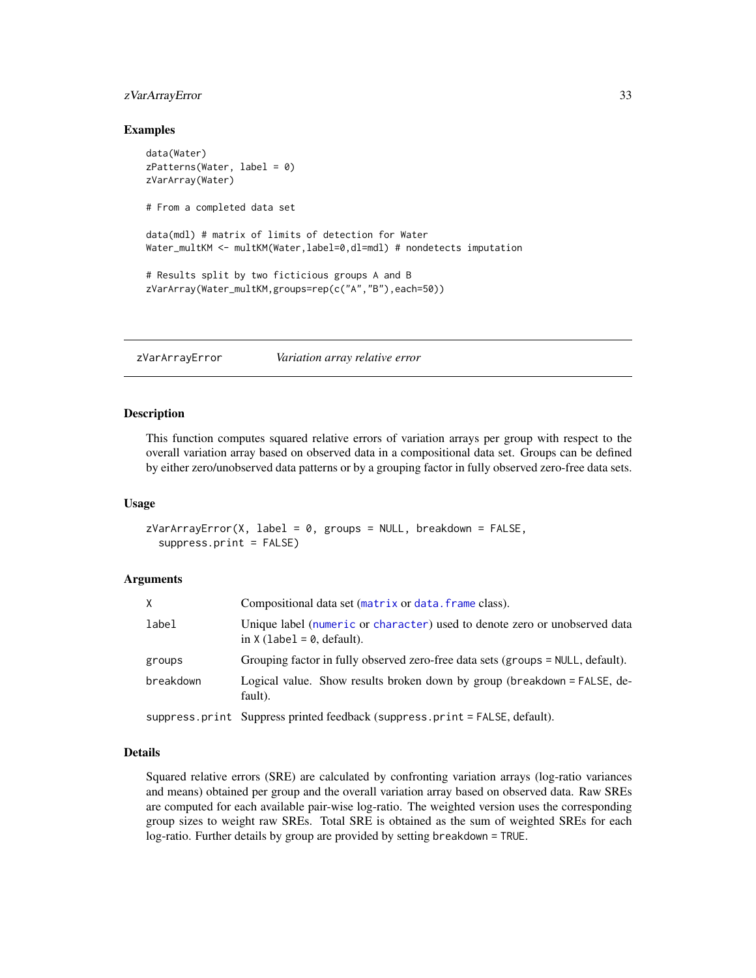# <span id="page-32-0"></span>zVarArrayError 33

### Examples

```
data(Water)
zPatterns(Water, label = 0)
zVarArray(Water)
# From a completed data set
data(mdl) # matrix of limits of detection for Water
Water_multKM <- multKM(Water,label=0,dl=mdl) # nondetects imputation
# Results split by two ficticious groups A and B
zVarArray(Water_multKM,groups=rep(c("A","B"),each=50))
```
<span id="page-32-1"></span>zVarArrayError *Variation array relative error*

#### Description

This function computes squared relative errors of variation arrays per group with respect to the overall variation array based on observed data in a compositional data set. Groups can be defined by either zero/unobserved data patterns or by a grouping factor in fully observed zero-free data sets.

#### Usage

```
zVarArrayError(X, label = 0, groups = NULL, breakdown = FALSE,suppress.print = FALSE)
```
#### Arguments

| X         | Compositional data set (matrix or data. frame class).                                                      |
|-----------|------------------------------------------------------------------------------------------------------------|
| label     | Unique label (numeric or character) used to denote zero or unobserved data<br>in $X$ (label = 0, default). |
| groups    | Grouping factor in fully observed zero-free data sets (groups = NULL, default).                            |
| breakdown | Logical value. Show results broken down by group (breakdown = FALSE, de-<br>fault).                        |
|           | suppress.print Suppress printed feedback (suppress.print = FALSE, default).                                |

# Details

Squared relative errors (SRE) are calculated by confronting variation arrays (log-ratio variances and means) obtained per group and the overall variation array based on observed data. Raw SREs are computed for each available pair-wise log-ratio. The weighted version uses the corresponding group sizes to weight raw SREs. Total SRE is obtained as the sum of weighted SREs for each log-ratio. Further details by group are provided by setting breakdown = TRUE.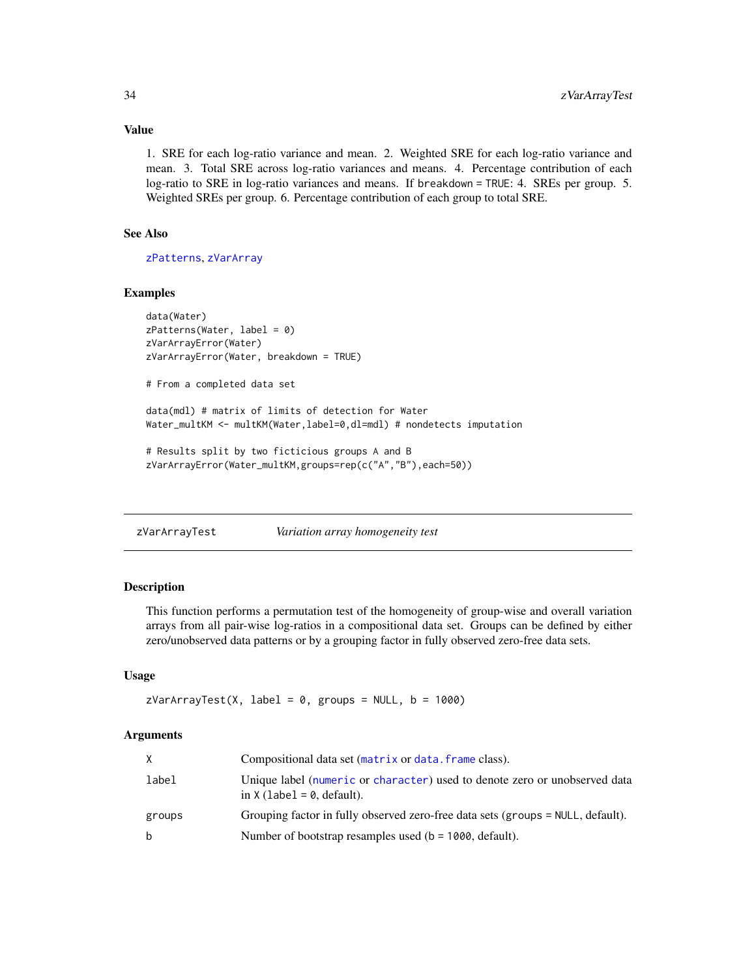# Value

1. SRE for each log-ratio variance and mean. 2. Weighted SRE for each log-ratio variance and mean. 3. Total SRE across log-ratio variances and means. 4. Percentage contribution of each log-ratio to SRE in log-ratio variances and means. If breakdown = TRUE: 4. SREs per group. 5. Weighted SREs per group. 6. Percentage contribution of each group to total SRE.

# See Also

[zPatterns](#page-28-1), [zVarArray](#page-31-1)

#### Examples

```
data(Water)
zPatterns(Water, label = 0)zVarArrayError(Water)
zVarArrayError(Water, breakdown = TRUE)
# From a completed data set
data(mdl) # matrix of limits of detection for Water
Water_multKM <- multKM(Water,label=0,dl=mdl) # nondetects imputation
# Results split by two ficticious groups A and B
zVarArrayError(Water_multKM,groups=rep(c("A","B"),each=50))
```
<span id="page-33-1"></span>zVarArrayTest *Variation array homogeneity test*

#### Description

This function performs a permutation test of the homogeneity of group-wise and overall variation arrays from all pair-wise log-ratios in a compositional data set. Groups can be defined by either zero/unobserved data patterns or by a grouping factor in fully observed zero-free data sets.

# Usage

```
zVarArrayTest(X, label = 0, groups = NULL, b = 1000)
```
#### Arguments

| X.     | Compositional data set (matrix or data, frame class).                                                      |
|--------|------------------------------------------------------------------------------------------------------------|
| label  | Unique label (numeric or character) used to denote zero or unobserved data<br>in $X$ (label = 0, default). |
| groups | Grouping factor in fully observed zero-free data sets (groups = NULL, default).                            |
| b      | Number of bootstrap resamples used ( $b = 1000$ , default).                                                |

<span id="page-33-0"></span>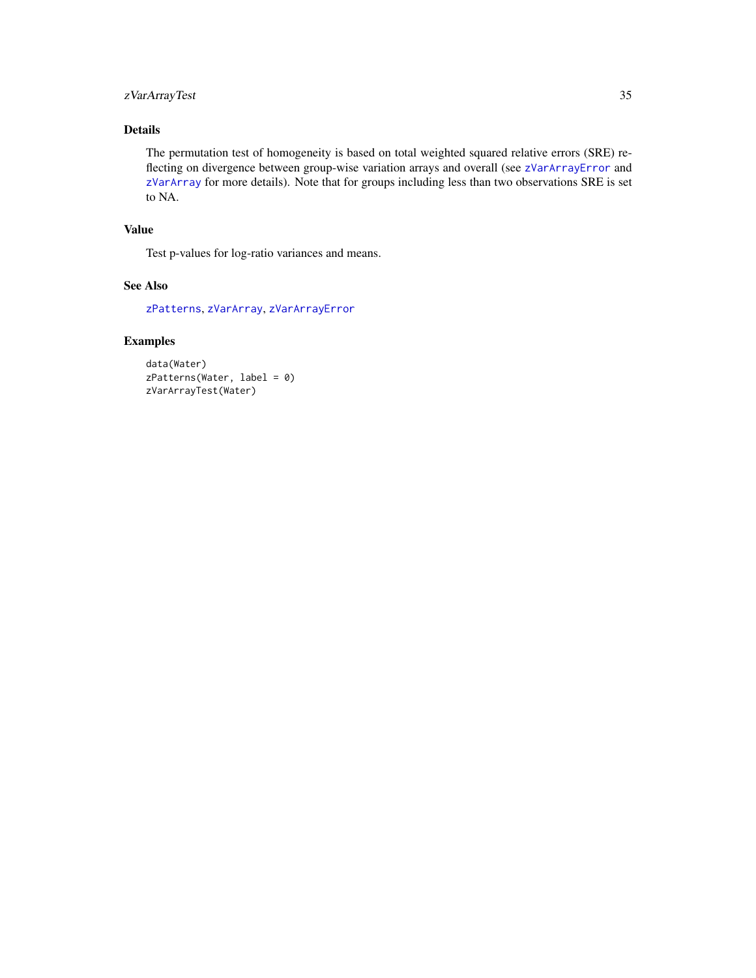# <span id="page-34-0"></span>zVarArrayTest 35

# Details

The permutation test of homogeneity is based on total weighted squared relative errors (SRE) reflecting on divergence between group-wise variation arrays and overall (see [zVarArrayError](#page-32-1) and [zVarArray](#page-31-1) for more details). Note that for groups including less than two observations SRE is set to NA.

# Value

Test p-values for log-ratio variances and means.

# See Also

[zPatterns](#page-28-1), [zVarArray](#page-31-1), [zVarArrayError](#page-32-1)

# Examples

```
data(Water)
zPatterns(Water, label = 0)
zVarArrayTest(Water)
```